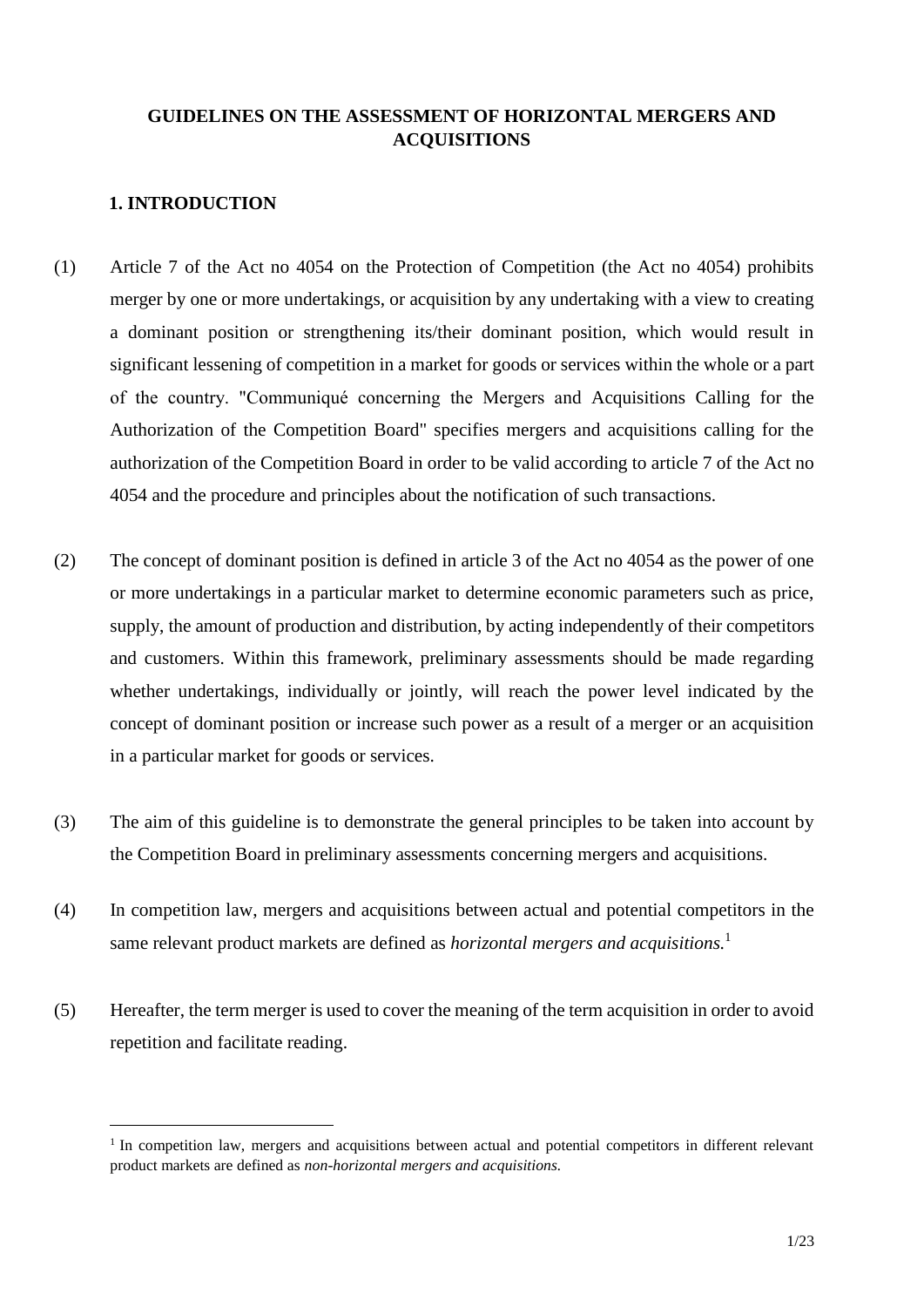# **GUIDELINES ON THE ASSESSMENT OF HORIZONTAL MERGERS AND ACQUISITIONS**

# **1. INTRODUCTION**

- (1) Article 7 of the Act no 4054 on the Protection of Competition (the Act no 4054) prohibits merger by one or more undertakings, or acquisition by any undertaking with a view to creating a dominant position or strengthening its/their dominant position, which would result in significant lessening of competition in a market for goods or services within the whole or a part of the country. "Communiqué concerning the Mergers and Acquisitions Calling for the Authorization of the Competition Board" specifies mergers and acquisitions calling for the authorization of the Competition Board in order to be valid according to article 7 of the Act no 4054 and the procedure and principles about the notification of such transactions.
- (2) The concept of dominant position is defined in article 3 of the Act no 4054 as the power of one or more undertakings in a particular market to determine economic parameters such as price, supply, the amount of production and distribution, by acting independently of their competitors and customers. Within this framework, preliminary assessments should be made regarding whether undertakings, individually or jointly, will reach the power level indicated by the concept of dominant position or increase such power as a result of a merger or an acquisition in a particular market for goods or services.
- (3) The aim of this guideline is to demonstrate the general principles to be taken into account by the Competition Board in preliminary assessments concerning mergers and acquisitions.
- (4) In competition law, mergers and acquisitions between actual and potential competitors in the same relevant product markets are defined as *horizontal mergers and acquisitions.*<sup>1</sup>
- (5) Hereafter, the term merger is used to cover the meaning of the term acquisition in order to avoid repetition and facilitate reading.

<sup>&</sup>lt;sup>1</sup> In competition law, mergers and acquisitions between actual and potential competitors in different relevant product markets are defined as *non-horizontal mergers and acquisitions.*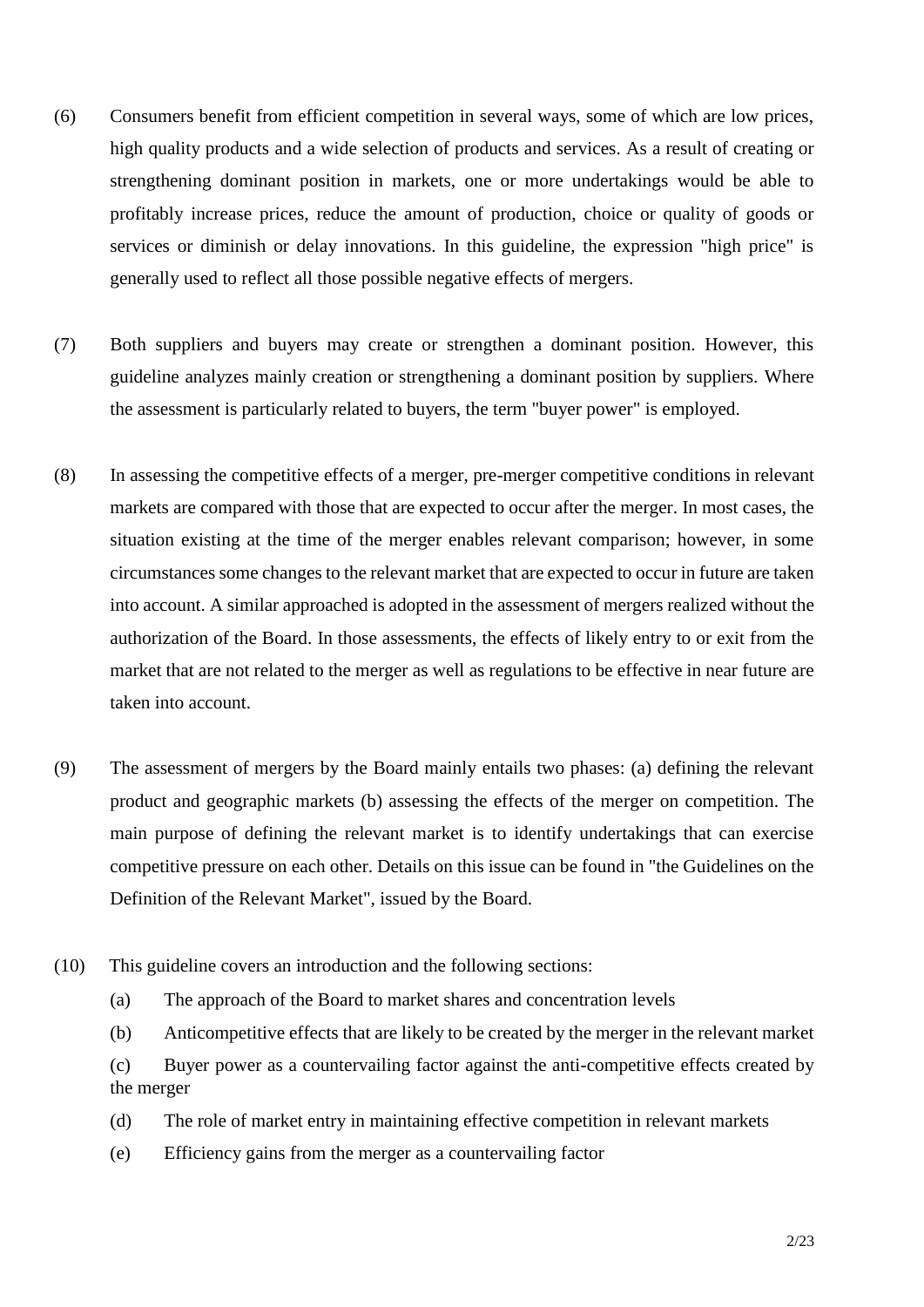- (6) Consumers benefit from efficient competition in several ways, some of which are low prices, high quality products and a wide selection of products and services. As a result of creating or strengthening dominant position in markets, one or more undertakings would be able to profitably increase prices, reduce the amount of production, choice or quality of goods or services or diminish or delay innovations. In this guideline, the expression "high price" is generally used to reflect all those possible negative effects of mergers.
- (7) Both suppliers and buyers may create or strengthen a dominant position. However, this guideline analyzes mainly creation or strengthening a dominant position by suppliers. Where the assessment is particularly related to buyers, the term "buyer power" is employed.
- (8) In assessing the competitive effects of a merger, pre-merger competitive conditions in relevant markets are compared with those that are expected to occur after the merger. In most cases, the situation existing at the time of the merger enables relevant comparison; however, in some circumstances some changes to the relevant market that are expected to occur in future are taken into account. A similar approached is adopted in the assessment of mergers realized without the authorization of the Board. In those assessments, the effects of likely entry to or exit from the market that are not related to the merger as well as regulations to be effective in near future are taken into account.
- (9) The assessment of mergers by the Board mainly entails two phases: (a) defining the relevant product and geographic markets (b) assessing the effects of the merger on competition. The main purpose of defining the relevant market is to identify undertakings that can exercise competitive pressure on each other. Details on this issue can be found in "the Guidelines on the Definition of the Relevant Market", issued by the Board.
- (10) This guideline covers an introduction and the following sections:
	- (a) The approach of the Board to market shares and concentration levels
	- (b) Anticompetitive effects that are likely to be created by the merger in the relevant market
	- (c) Buyer power as a countervailing factor against the anti-competitive effects created by the merger
	- (d) The role of market entry in maintaining effective competition in relevant markets
	- (e) Efficiency gains from the merger as a countervailing factor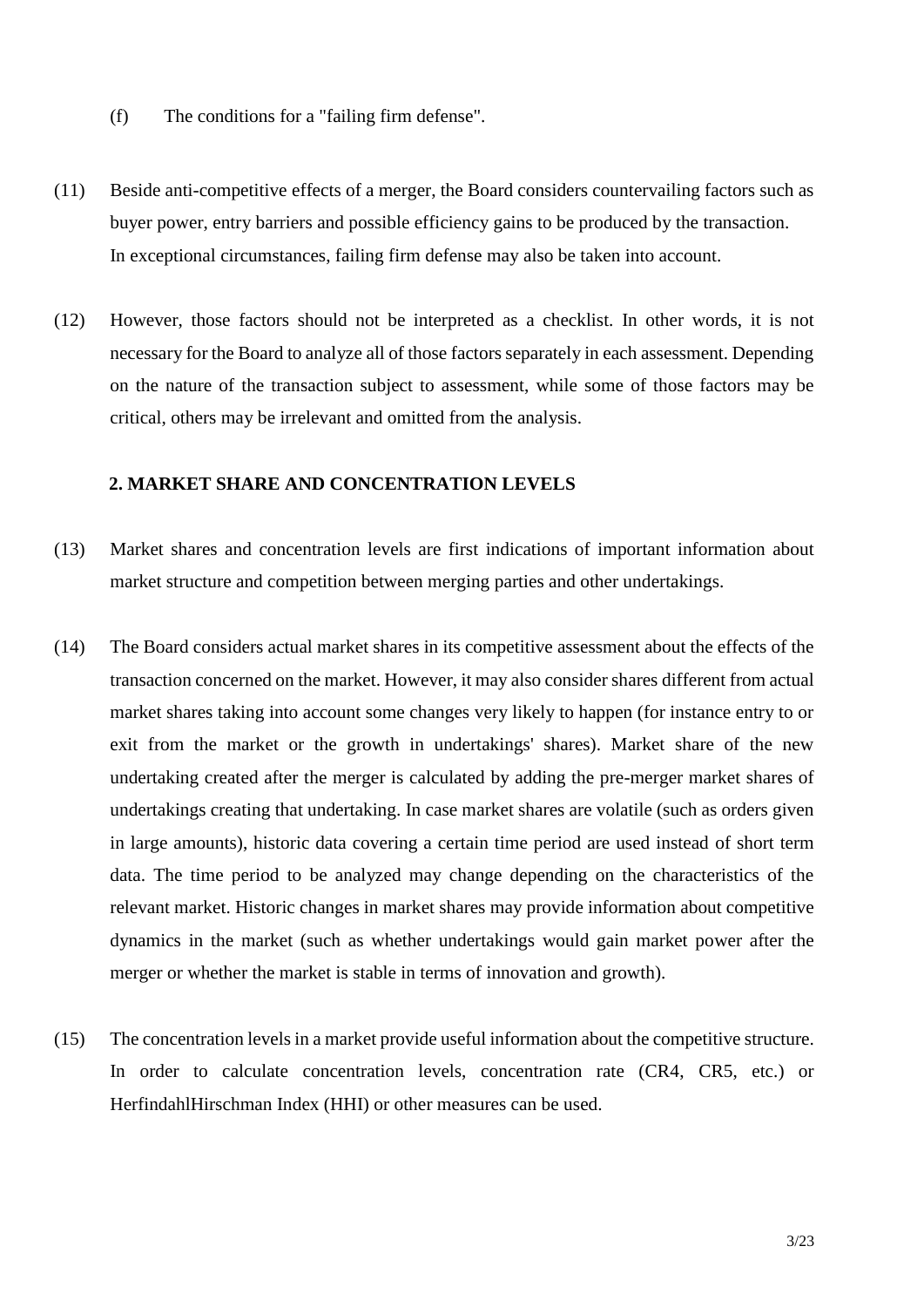- (f) The conditions for a "failing firm defense".
- (11) Beside anti-competitive effects of a merger, the Board considers countervailing factors such as buyer power, entry barriers and possible efficiency gains to be produced by the transaction. In exceptional circumstances, failing firm defense may also be taken into account.
- (12) However, those factors should not be interpreted as a checklist. In other words, it is not necessary for the Board to analyze all of those factors separately in each assessment. Depending on the nature of the transaction subject to assessment, while some of those factors may be critical, others may be irrelevant and omitted from the analysis.

## **2. MARKET SHARE AND CONCENTRATION LEVELS**

- (13) Market shares and concentration levels are first indications of important information about market structure and competition between merging parties and other undertakings.
- (14) The Board considers actual market shares in its competitive assessment about the effects of the transaction concerned on the market. However, it may also consider shares different from actual market shares taking into account some changes very likely to happen (for instance entry to or exit from the market or the growth in undertakings' shares). Market share of the new undertaking created after the merger is calculated by adding the pre-merger market shares of undertakings creating that undertaking. In case market shares are volatile (such as orders given in large amounts), historic data covering a certain time period are used instead of short term data. The time period to be analyzed may change depending on the characteristics of the relevant market. Historic changes in market shares may provide information about competitive dynamics in the market (such as whether undertakings would gain market power after the merger or whether the market is stable in terms of innovation and growth).
- (15) The concentration levels in a market provide useful information about the competitive structure. In order to calculate concentration levels, concentration rate (CR4, CR5, etc.) or HerfindahlHirschman Index (HHI) or other measures can be used.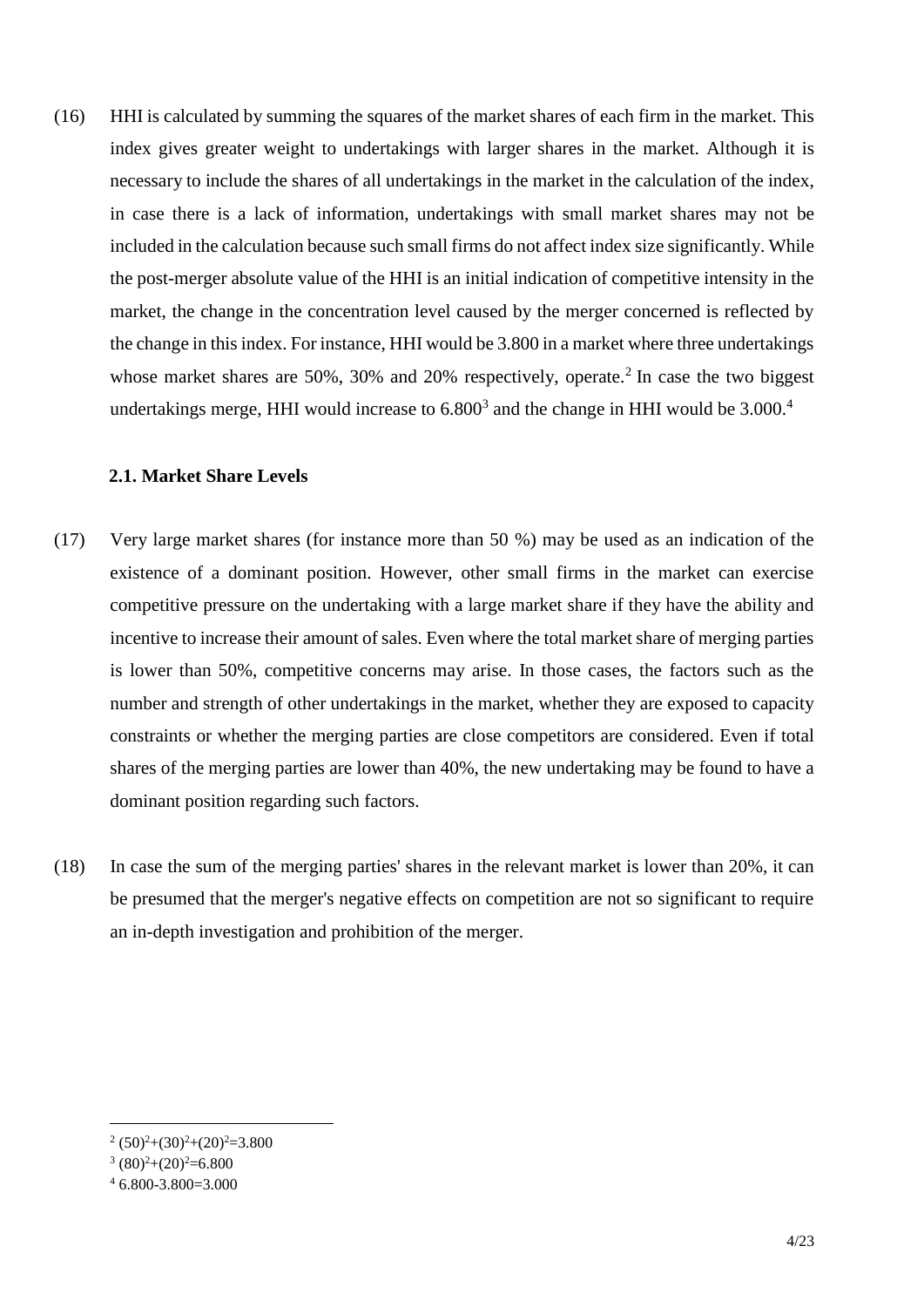(16) HHI is calculated by summing the squares of the market shares of each firm in the market. This index gives greater weight to undertakings with larger shares in the market. Although it is necessary to include the shares of all undertakings in the market in the calculation of the index, in case there is a lack of information, undertakings with small market shares may not be included in the calculation because such small firms do not affect index size significantly. While the post-merger absolute value of the HHI is an initial indication of competitive intensity in the market, the change in the concentration level caused by the merger concerned is reflected by the change in this index. For instance, HHI would be 3.800 in a market where three undertakings whose market shares are 50%, 30% and 20% respectively, operate.<sup>2</sup> In case the two biggest undertakings merge, HHI would increase to  $6.800<sup>3</sup>$  and the change in HHI would be  $3.000<sup>4</sup>$ 

## **2.1. Market Share Levels**

- (17) Very large market shares (for instance more than 50 %) may be used as an indication of the existence of a dominant position. However, other small firms in the market can exercise competitive pressure on the undertaking with a large market share if they have the ability and incentive to increase their amount of sales. Even where the total market share of merging parties is lower than 50%, competitive concerns may arise. In those cases, the factors such as the number and strength of other undertakings in the market, whether they are exposed to capacity constraints or whether the merging parties are close competitors are considered. Even if total shares of the merging parties are lower than 40%, the new undertaking may be found to have a dominant position regarding such factors.
- (18) In case the sum of the merging parties' shares in the relevant market is lower than 20%, it can be presumed that the merger's negative effects on competition are not so significant to require an in-depth investigation and prohibition of the merger.

 $2(50)^2+(30)^2+(20)^2=3.800$ 

 $(80)^2+(20)^2=6.800$ 

 $4,6,800-3,800=3,000$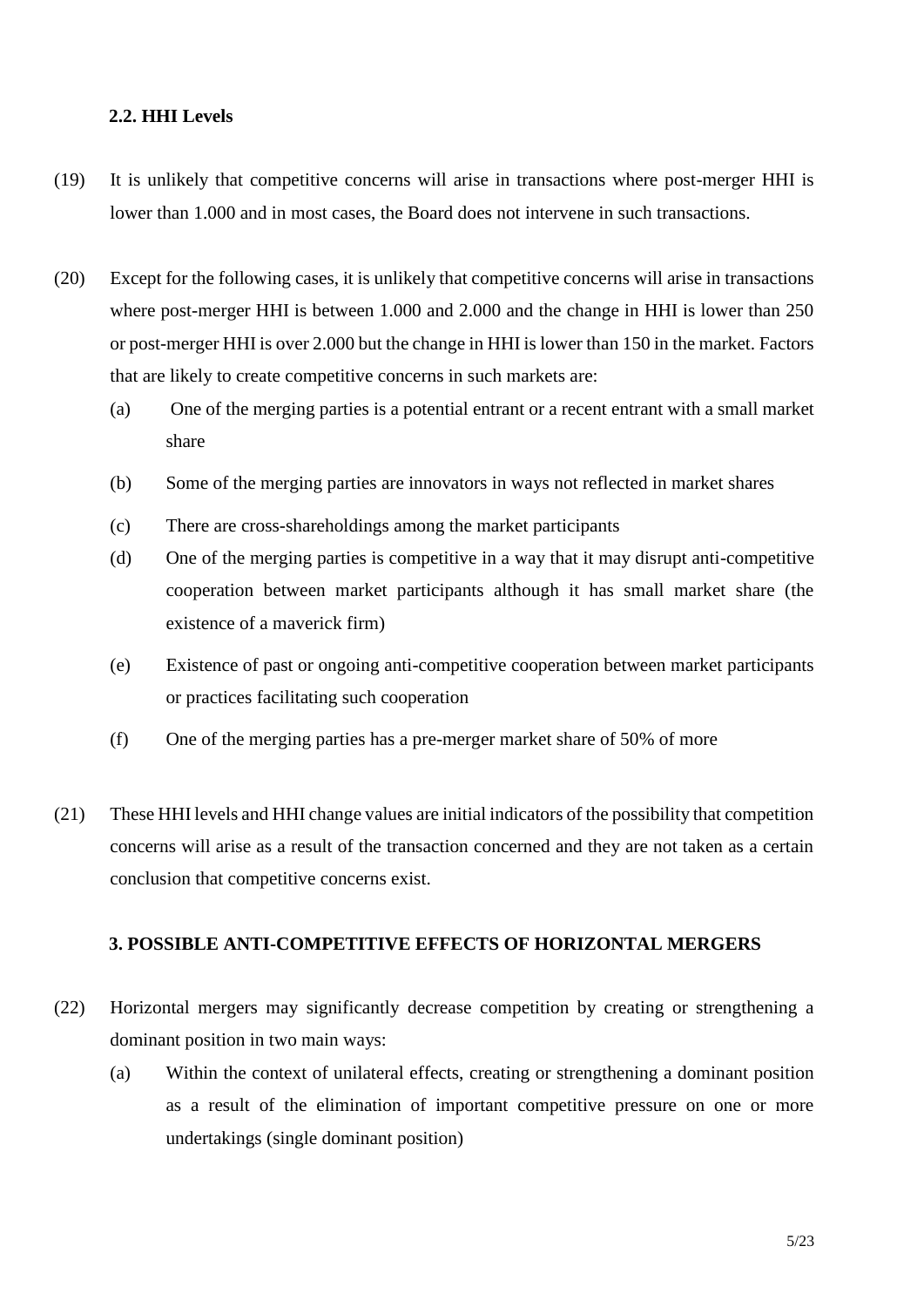## **2.2. HHI Levels**

- (19) It is unlikely that competitive concerns will arise in transactions where post-merger HHI is lower than 1.000 and in most cases, the Board does not intervene in such transactions.
- (20) Except for the following cases, it is unlikely that competitive concerns will arise in transactions where post-merger HHI is between 1.000 and 2.000 and the change in HHI is lower than 250 or post-merger HHI is over 2.000 but the change in HHI is lower than 150 in the market. Factors that are likely to create competitive concerns in such markets are:
	- (a) One of the merging parties is a potential entrant or a recent entrant with a small market share
	- (b) Some of the merging parties are innovators in ways not reflected in market shares
	- (c) There are cross-shareholdings among the market participants
	- (d) One of the merging parties is competitive in a way that it may disrupt anti-competitive cooperation between market participants although it has small market share (the existence of a maverick firm)
	- (e) Existence of past or ongoing anti-competitive cooperation between market participants or practices facilitating such cooperation
	- (f) One of the merging parties has a pre-merger market share of 50% of more
- (21) These HHI levels and HHI change values are initial indicators of the possibility that competition concerns will arise as a result of the transaction concerned and they are not taken as a certain conclusion that competitive concerns exist.

## **3. POSSIBLE ANTI-COMPETITIVE EFFECTS OF HORIZONTAL MERGERS**

- (22) Horizontal mergers may significantly decrease competition by creating or strengthening a dominant position in two main ways:
	- (a) Within the context of unilateral effects, creating or strengthening a dominant position as a result of the elimination of important competitive pressure on one or more undertakings (single dominant position)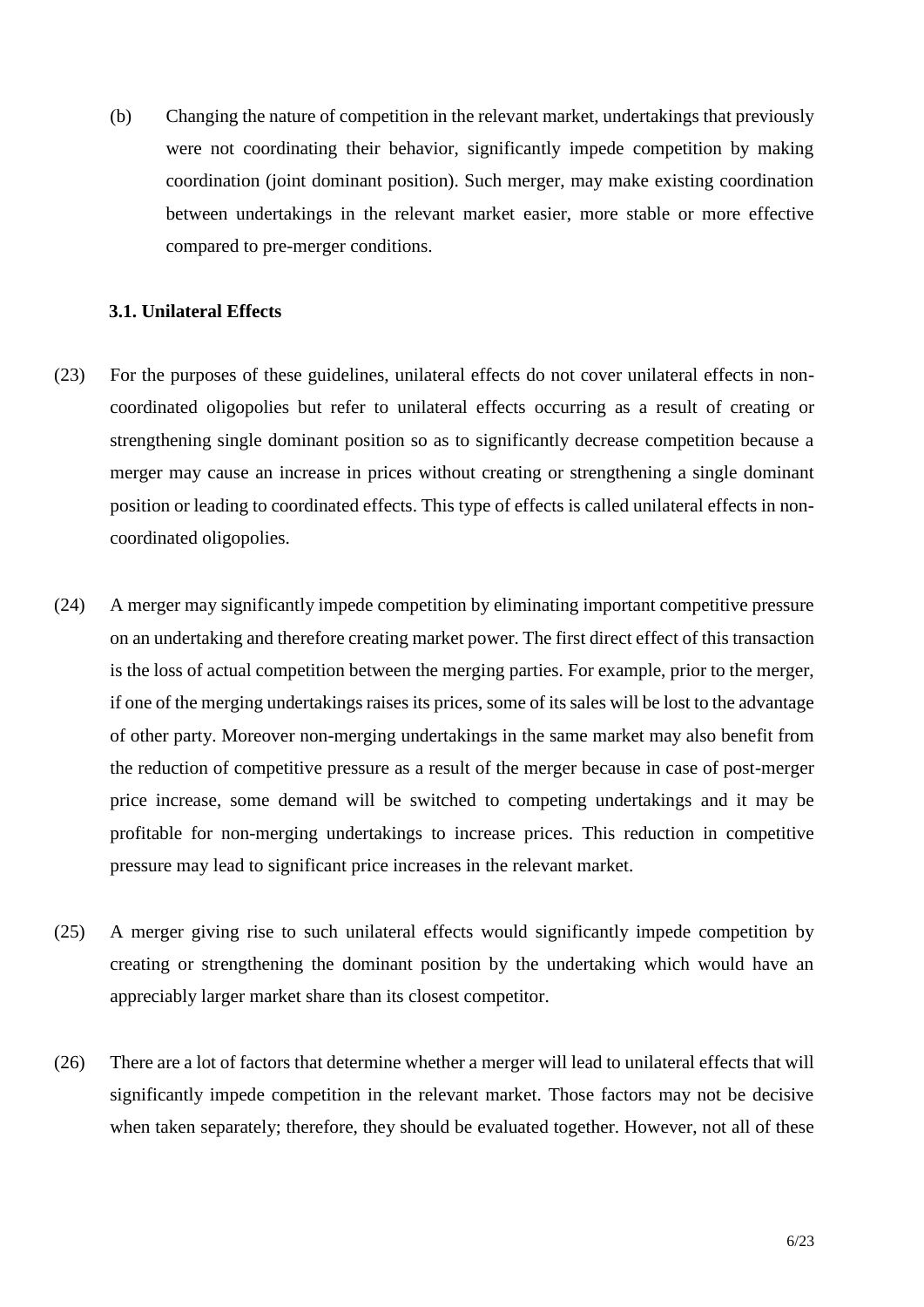(b) Changing the nature of competition in the relevant market, undertakings that previously were not coordinating their behavior, significantly impede competition by making coordination (joint dominant position). Such merger, may make existing coordination between undertakings in the relevant market easier, more stable or more effective compared to pre-merger conditions.

## **3.1. Unilateral Effects**

- (23) For the purposes of these guidelines, unilateral effects do not cover unilateral effects in noncoordinated oligopolies but refer to unilateral effects occurring as a result of creating or strengthening single dominant position so as to significantly decrease competition because a merger may cause an increase in prices without creating or strengthening a single dominant position or leading to coordinated effects. This type of effects is called unilateral effects in noncoordinated oligopolies.
- (24) A merger may significantly impede competition by eliminating important competitive pressure on an undertaking and therefore creating market power. The first direct effect of this transaction is the loss of actual competition between the merging parties. For example, prior to the merger, if one of the merging undertakings raises its prices, some of its sales will be lost to the advantage of other party. Moreover non-merging undertakings in the same market may also benefit from the reduction of competitive pressure as a result of the merger because in case of post-merger price increase, some demand will be switched to competing undertakings and it may be profitable for non-merging undertakings to increase prices. This reduction in competitive pressure may lead to significant price increases in the relevant market.
- (25) A merger giving rise to such unilateral effects would significantly impede competition by creating or strengthening the dominant position by the undertaking which would have an appreciably larger market share than its closest competitor.
- (26) There are a lot of factors that determine whether a merger will lead to unilateral effects that will significantly impede competition in the relevant market. Those factors may not be decisive when taken separately; therefore, they should be evaluated together. However, not all of these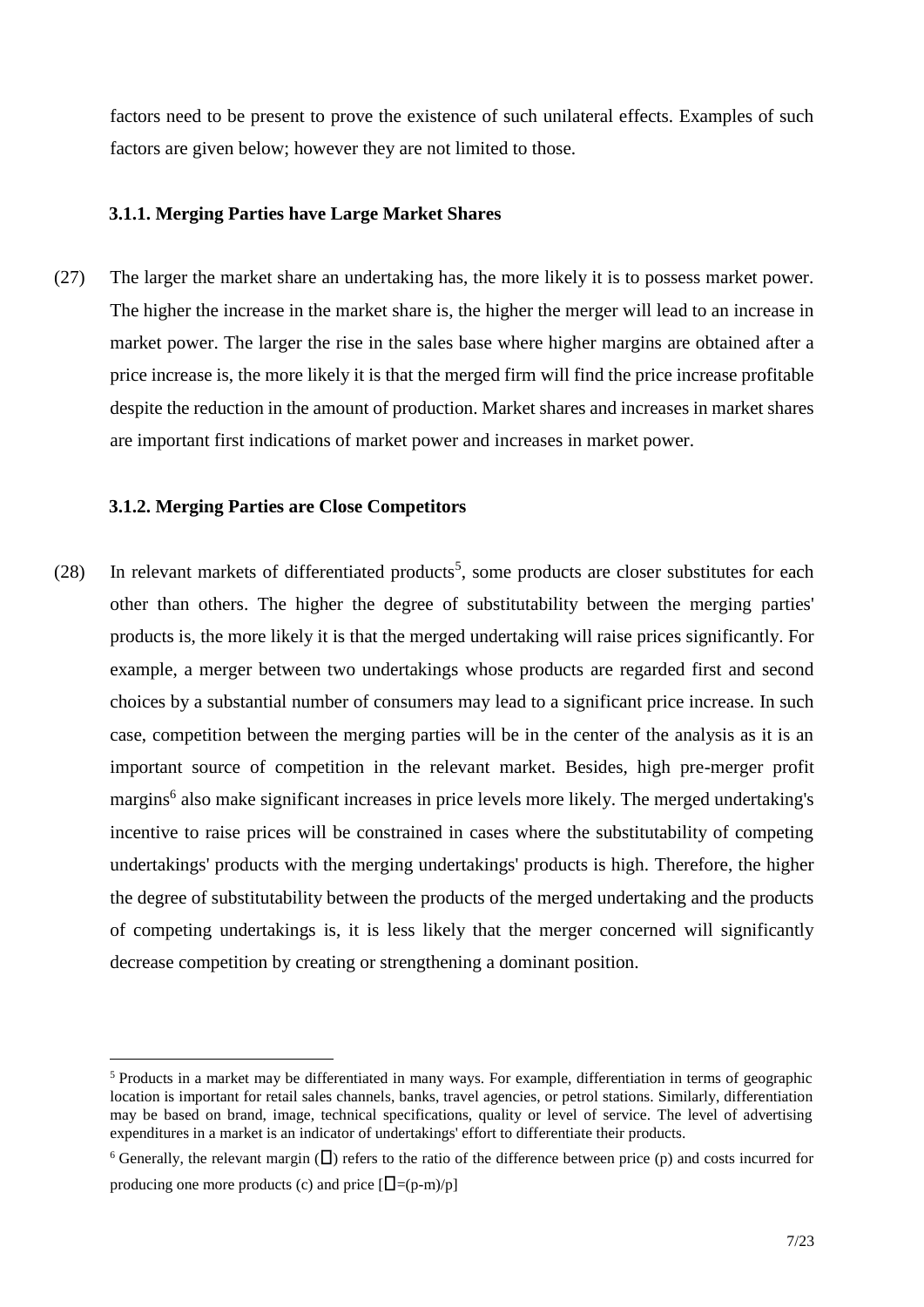factors need to be present to prove the existence of such unilateral effects. Examples of such factors are given below; however they are not limited to those.

#### **3.1.1. Merging Parties have Large Market Shares**

(27) The larger the market share an undertaking has, the more likely it is to possess market power. The higher the increase in the market share is, the higher the merger will lead to an increase in market power. The larger the rise in the sales base where higher margins are obtained after a price increase is, the more likely it is that the merged firm will find the price increase profitable despite the reduction in the amount of production. Market shares and increases in market shares are important first indications of market power and increases in market power.

## **3.1.2. Merging Parties are Close Competitors**

 $\overline{a}$ 

(28) In relevant markets of differentiated products<sup>5</sup>, some products are closer substitutes for each other than others. The higher the degree of substitutability between the merging parties' products is, the more likely it is that the merged undertaking will raise prices significantly. For example, a merger between two undertakings whose products are regarded first and second choices by a substantial number of consumers may lead to a significant price increase. In such case, competition between the merging parties will be in the center of the analysis as it is an important source of competition in the relevant market. Besides, high pre-merger profit margins<sup>6</sup> also make significant increases in price levels more likely. The merged undertaking's incentive to raise prices will be constrained in cases where the substitutability of competing undertakings' products with the merging undertakings' products is high. Therefore, the higher the degree of substitutability between the products of the merged undertaking and the products of competing undertakings is, it is less likely that the merger concerned will significantly decrease competition by creating or strengthening a dominant position.

<sup>5</sup> Products in a market may be differentiated in many ways. For example, differentiation in terms of geographic location is important for retail sales channels, banks, travel agencies, or petrol stations. Similarly, differentiation may be based on brand, image, technical specifications, quality or level of service. The level of advertising expenditures in a market is an indicator of undertakings' effort to differentiate their products.

<sup>&</sup>lt;sup>6</sup> Generally, the relevant margin ( $\Box$ ) refers to the ratio of the difference between price (p) and costs incurred for producing one more products (c) and price  $[L=(p-m)/p]$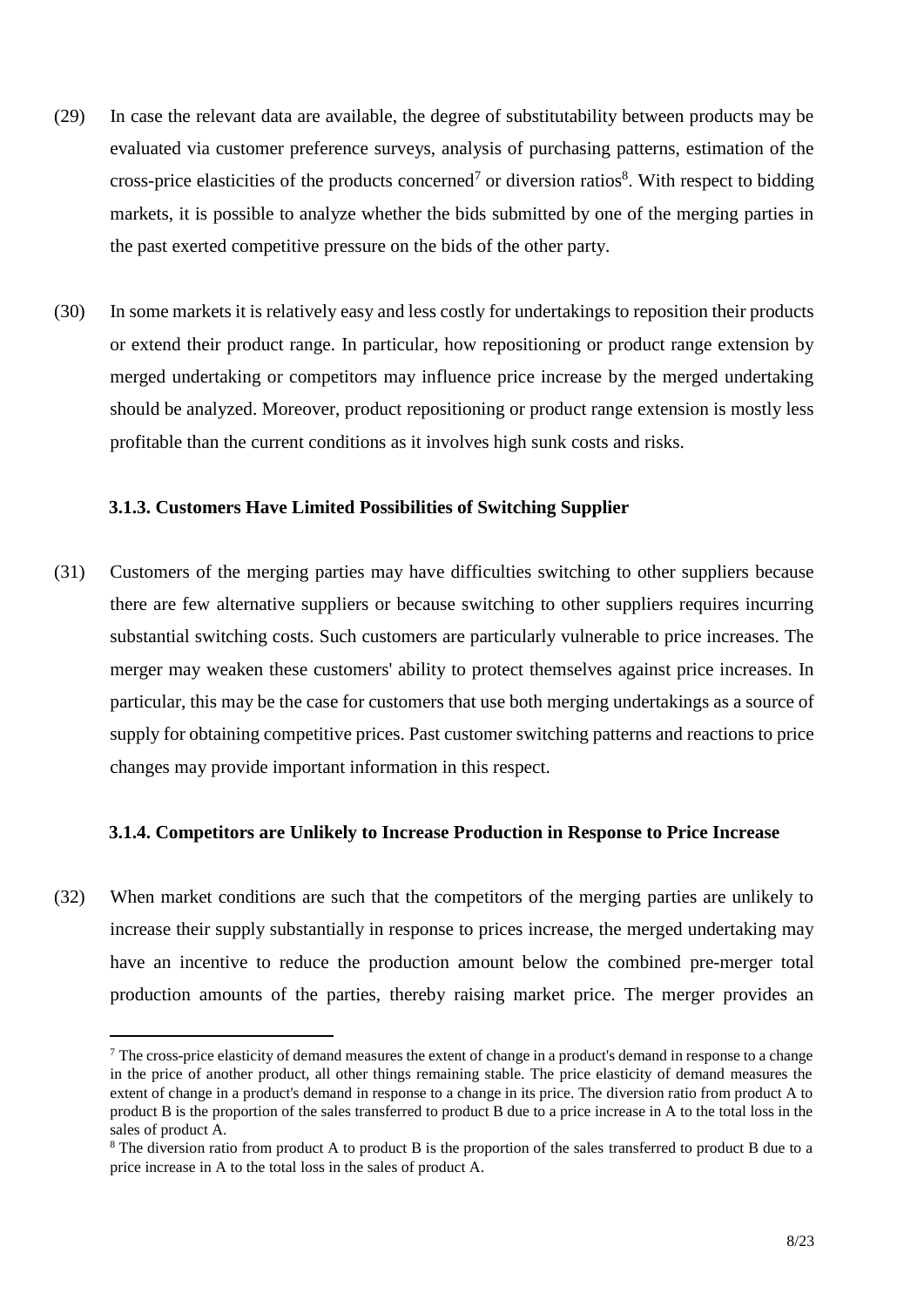- (29) In case the relevant data are available, the degree of substitutability between products may be evaluated via customer preference surveys, analysis of purchasing patterns, estimation of the cross-price elasticities of the products concerned<sup>7</sup> or diversion ratios<sup>8</sup>. With respect to bidding markets, it is possible to analyze whether the bids submitted by one of the merging parties in the past exerted competitive pressure on the bids of the other party.
- (30) In some markets it is relatively easy and less costly for undertakings to reposition their products or extend their product range. In particular, how repositioning or product range extension by merged undertaking or competitors may influence price increase by the merged undertaking should be analyzed. Moreover, product repositioning or product range extension is mostly less profitable than the current conditions as it involves high sunk costs and risks.

## **3.1.3. Customers Have Limited Possibilities of Switching Supplier**

(31) Customers of the merging parties may have difficulties switching to other suppliers because there are few alternative suppliers or because switching to other suppliers requires incurring substantial switching costs. Such customers are particularly vulnerable to price increases. The merger may weaken these customers' ability to protect themselves against price increases. In particular, this may be the case for customers that use both merging undertakings as a source of supply for obtaining competitive prices. Past customer switching patterns and reactions to price changes may provide important information in this respect.

#### **3.1.4. Competitors are Unlikely to Increase Production in Response to Price Increase**

(32) When market conditions are such that the competitors of the merging parties are unlikely to increase their supply substantially in response to prices increase, the merged undertaking may have an incentive to reduce the production amount below the combined pre-merger total production amounts of the parties, thereby raising market price. The merger provides an

<sup>&</sup>lt;sup>7</sup> The cross-price elasticity of demand measures the extent of change in a product's demand in response to a change in the price of another product, all other things remaining stable. The price elasticity of demand measures the extent of change in a product's demand in response to a change in its price. The diversion ratio from product A to product B is the proportion of the sales transferred to product B due to a price increase in A to the total loss in the sales of product A.

<sup>&</sup>lt;sup>8</sup> The diversion ratio from product A to product B is the proportion of the sales transferred to product B due to a price increase in A to the total loss in the sales of product A.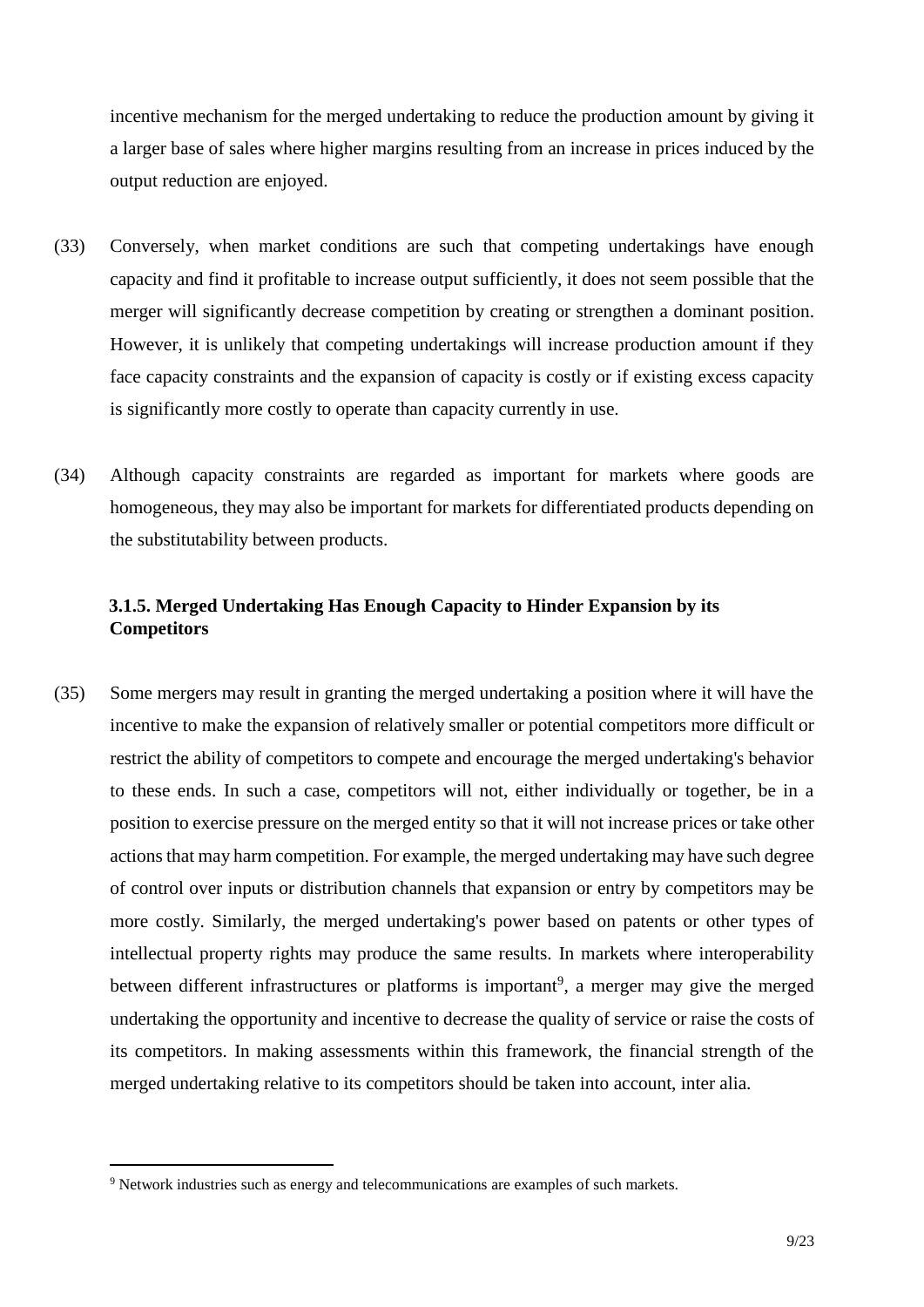incentive mechanism for the merged undertaking to reduce the production amount by giving it a larger base of sales where higher margins resulting from an increase in prices induced by the output reduction are enjoyed.

- (33) Conversely, when market conditions are such that competing undertakings have enough capacity and find it profitable to increase output sufficiently, it does not seem possible that the merger will significantly decrease competition by creating or strengthen a dominant position. However, it is unlikely that competing undertakings will increase production amount if they face capacity constraints and the expansion of capacity is costly or if existing excess capacity is significantly more costly to operate than capacity currently in use.
- (34) Although capacity constraints are regarded as important for markets where goods are homogeneous, they may also be important for markets for differentiated products depending on the substitutability between products.

# **3.1.5. Merged Undertaking Has Enough Capacity to Hinder Expansion by its Competitors**

(35) Some mergers may result in granting the merged undertaking a position where it will have the incentive to make the expansion of relatively smaller or potential competitors more difficult or restrict the ability of competitors to compete and encourage the merged undertaking's behavior to these ends. In such a case, competitors will not, either individually or together, be in a position to exercise pressure on the merged entity so that it will not increase prices or take other actions that may harm competition. For example, the merged undertaking may have such degree of control over inputs or distribution channels that expansion or entry by competitors may be more costly. Similarly, the merged undertaking's power based on patents or other types of intellectual property rights may produce the same results. In markets where interoperability between different infrastructures or platforms is important<sup>9</sup>, a merger may give the merged undertaking the opportunity and incentive to decrease the quality of service or raise the costs of its competitors. In making assessments within this framework, the financial strength of the merged undertaking relative to its competitors should be taken into account, inter alia.

<sup>9</sup> Network industries such as energy and telecommunications are examples of such markets.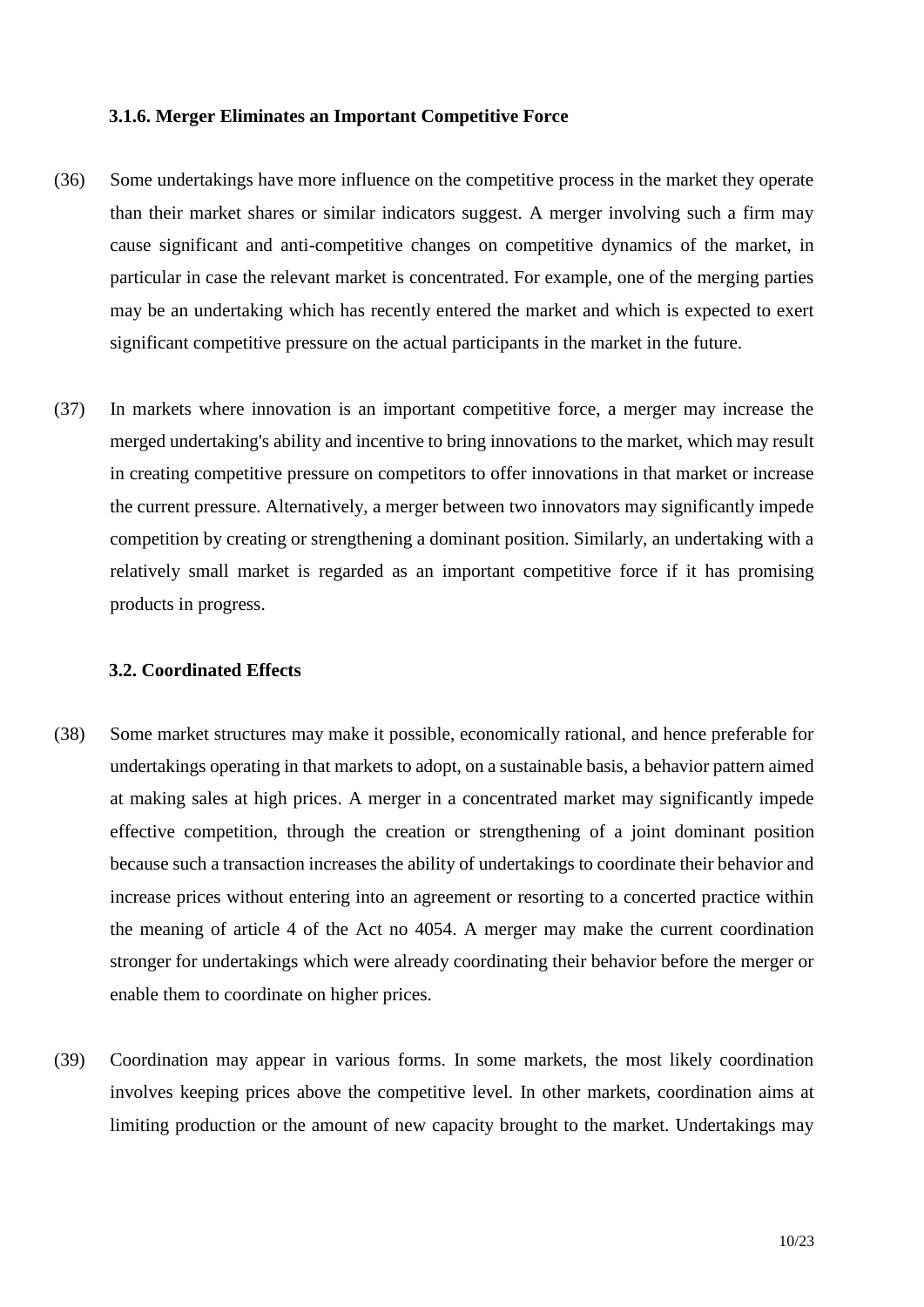#### **3.1.6. Merger Eliminates an Important Competitive Force**

- (36) Some undertakings have more influence on the competitive process in the market they operate than their market shares or similar indicators suggest. A merger involving such a firm may cause significant and anti-competitive changes on competitive dynamics of the market, in particular in case the relevant market is concentrated. For example, one of the merging parties may be an undertaking which has recently entered the market and which is expected to exert significant competitive pressure on the actual participants in the market in the future.
- (37) In markets where innovation is an important competitive force, a merger may increase the merged undertaking's ability and incentive to bring innovations to the market, which may result in creating competitive pressure on competitors to offer innovations in that market or increase the current pressure. Alternatively, a merger between two innovators may significantly impede competition by creating or strengthening a dominant position. Similarly, an undertaking with a relatively small market is regarded as an important competitive force if it has promising products in progress.

#### **3.2. Coordinated Effects**

- (38) Some market structures may make it possible, economically rational, and hence preferable for undertakings operating in that markets to adopt, on a sustainable basis, a behavior pattern aimed at making sales at high prices. A merger in a concentrated market may significantly impede effective competition, through the creation or strengthening of a joint dominant position because such a transaction increases the ability of undertakings to coordinate their behavior and increase prices without entering into an agreement or resorting to a concerted practice within the meaning of article 4 of the Act no 4054. A merger may make the current coordination stronger for undertakings which were already coordinating their behavior before the merger or enable them to coordinate on higher prices.
- (39) Coordination may appear in various forms. In some markets, the most likely coordination involves keeping prices above the competitive level. In other markets, coordination aims at limiting production or the amount of new capacity brought to the market. Undertakings may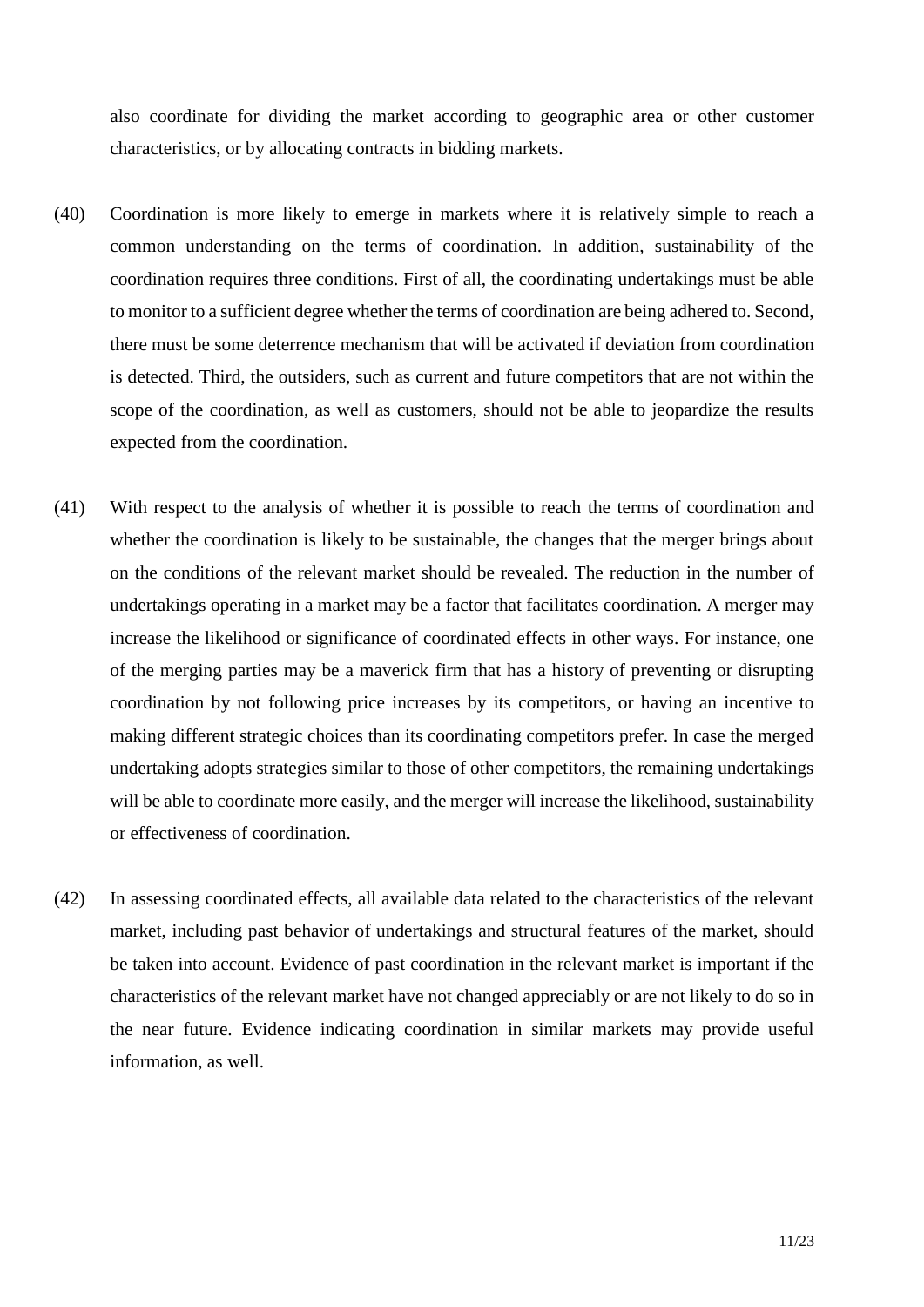also coordinate for dividing the market according to geographic area or other customer characteristics, or by allocating contracts in bidding markets.

- (40) Coordination is more likely to emerge in markets where it is relatively simple to reach a common understanding on the terms of coordination. In addition, sustainability of the coordination requires three conditions. First of all, the coordinating undertakings must be able to monitor to a sufficient degree whether the terms of coordination are being adhered to. Second, there must be some deterrence mechanism that will be activated if deviation from coordination is detected. Third, the outsiders, such as current and future competitors that are not within the scope of the coordination, as well as customers, should not be able to jeopardize the results expected from the coordination.
- (41) With respect to the analysis of whether it is possible to reach the terms of coordination and whether the coordination is likely to be sustainable, the changes that the merger brings about on the conditions of the relevant market should be revealed. The reduction in the number of undertakings operating in a market may be a factor that facilitates coordination. A merger may increase the likelihood or significance of coordinated effects in other ways. For instance, one of the merging parties may be a maverick firm that has a history of preventing or disrupting coordination by not following price increases by its competitors, or having an incentive to making different strategic choices than its coordinating competitors prefer. In case the merged undertaking adopts strategies similar to those of other competitors, the remaining undertakings will be able to coordinate more easily, and the merger will increase the likelihood, sustainability or effectiveness of coordination.
- (42) In assessing coordinated effects, all available data related to the characteristics of the relevant market, including past behavior of undertakings and structural features of the market, should be taken into account. Evidence of past coordination in the relevant market is important if the characteristics of the relevant market have not changed appreciably or are not likely to do so in the near future. Evidence indicating coordination in similar markets may provide useful information, as well.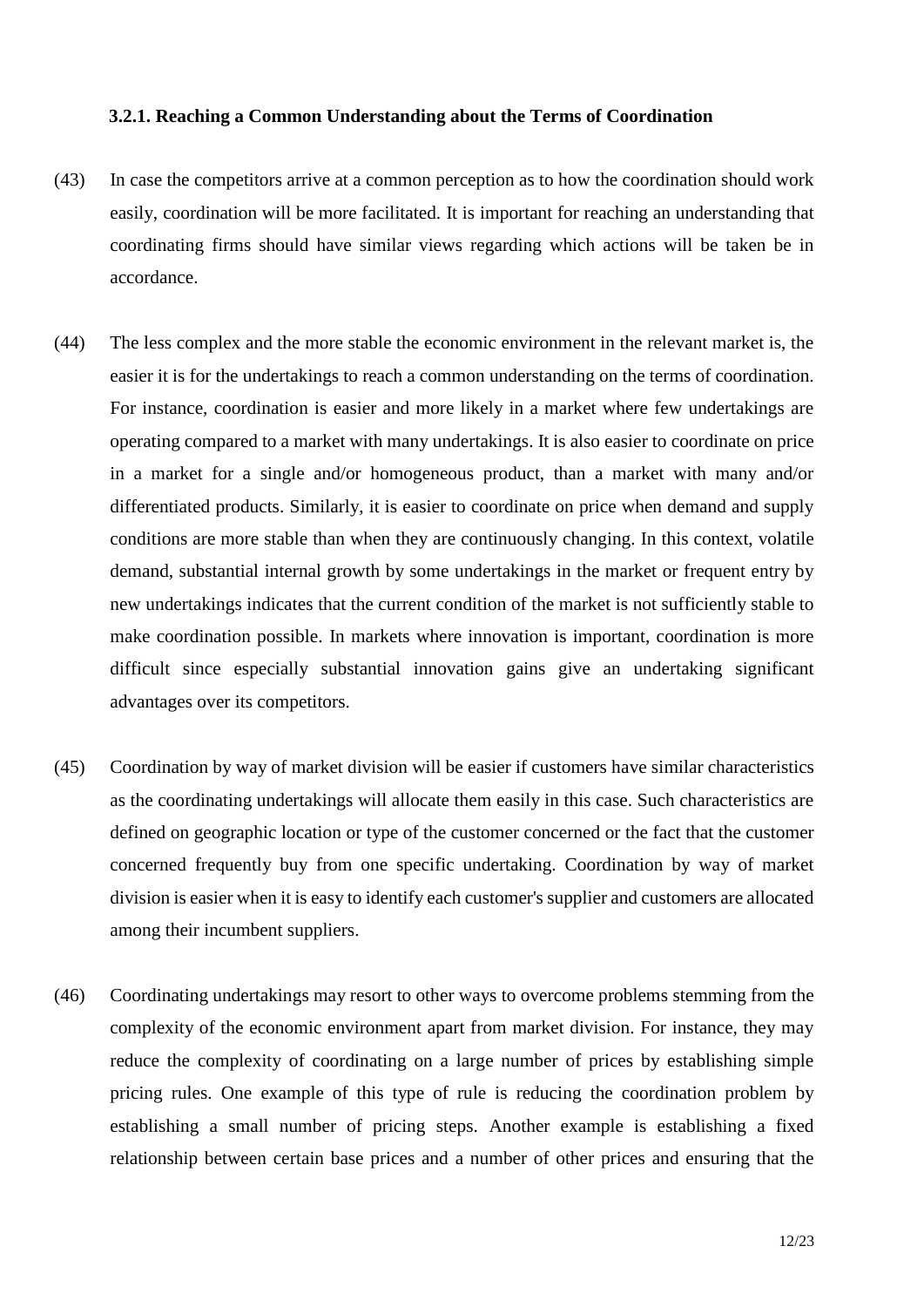#### **3.2.1. Reaching a Common Understanding about the Terms of Coordination**

- (43) In case the competitors arrive at a common perception as to how the coordination should work easily, coordination will be more facilitated. It is important for reaching an understanding that coordinating firms should have similar views regarding which actions will be taken be in accordance.
- (44) The less complex and the more stable the economic environment in the relevant market is, the easier it is for the undertakings to reach a common understanding on the terms of coordination. For instance, coordination is easier and more likely in a market where few undertakings are operating compared to a market with many undertakings. It is also easier to coordinate on price in a market for a single and/or homogeneous product, than a market with many and/or differentiated products. Similarly, it is easier to coordinate on price when demand and supply conditions are more stable than when they are continuously changing. In this context, volatile demand, substantial internal growth by some undertakings in the market or frequent entry by new undertakings indicates that the current condition of the market is not sufficiently stable to make coordination possible. In markets where innovation is important, coordination is more difficult since especially substantial innovation gains give an undertaking significant advantages over its competitors.
- (45) Coordination by way of market division will be easier if customers have similar characteristics as the coordinating undertakings will allocate them easily in this case. Such characteristics are defined on geographic location or type of the customer concerned or the fact that the customer concerned frequently buy from one specific undertaking. Coordination by way of market division is easier when it is easy to identify each customer's supplier and customers are allocated among their incumbent suppliers.
- (46) Coordinating undertakings may resort to other ways to overcome problems stemming from the complexity of the economic environment apart from market division. For instance, they may reduce the complexity of coordinating on a large number of prices by establishing simple pricing rules. One example of this type of rule is reducing the coordination problem by establishing a small number of pricing steps. Another example is establishing a fixed relationship between certain base prices and a number of other prices and ensuring that the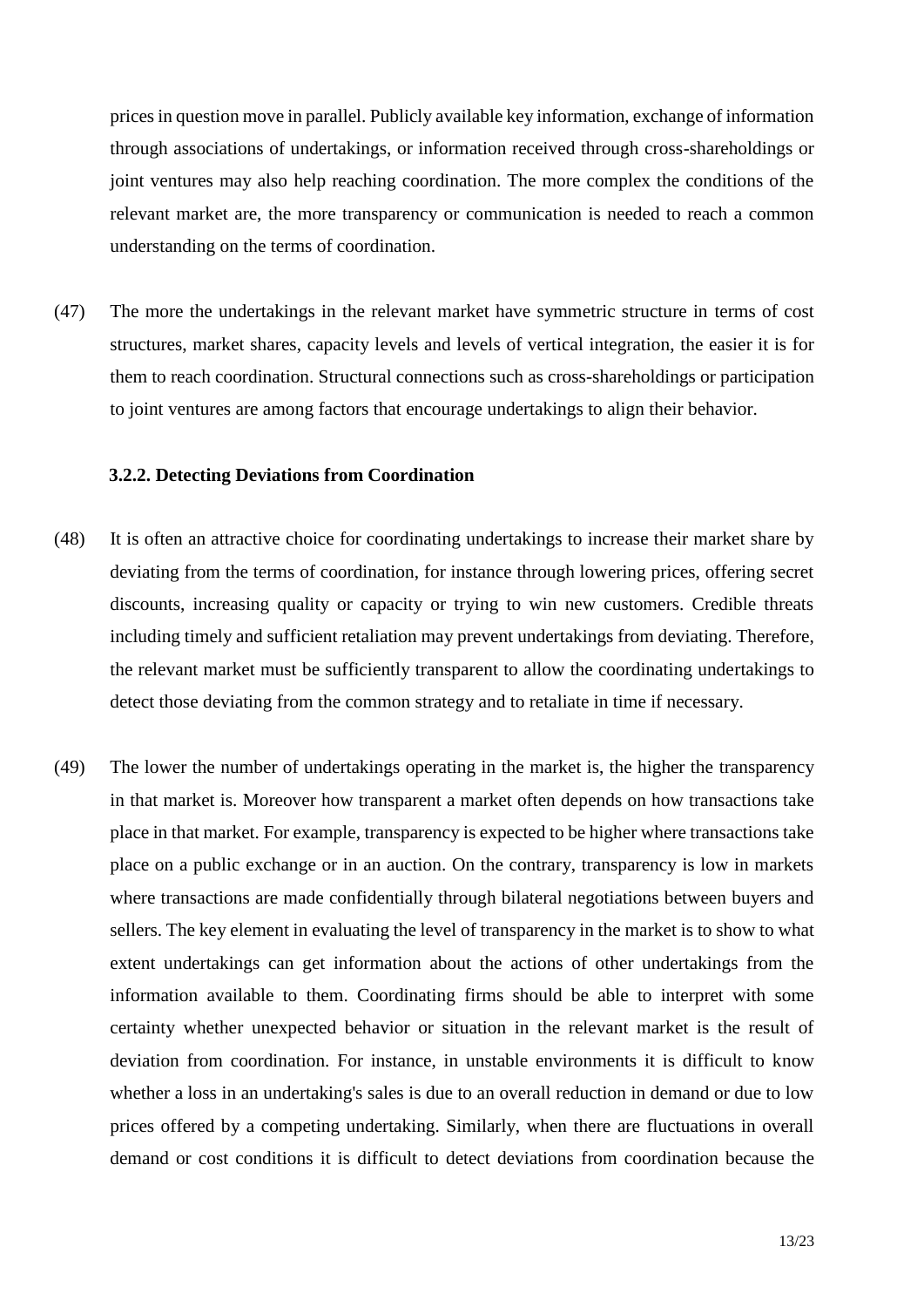prices in question move in parallel. Publicly available key information, exchange of information through associations of undertakings, or information received through cross-shareholdings or joint ventures may also help reaching coordination. The more complex the conditions of the relevant market are, the more transparency or communication is needed to reach a common understanding on the terms of coordination.

(47) The more the undertakings in the relevant market have symmetric structure in terms of cost structures, market shares, capacity levels and levels of vertical integration, the easier it is for them to reach coordination. Structural connections such as cross-shareholdings or participation to joint ventures are among factors that encourage undertakings to align their behavior.

#### **3.2.2. Detecting Deviations from Coordination**

- (48) It is often an attractive choice for coordinating undertakings to increase their market share by deviating from the terms of coordination, for instance through lowering prices, offering secret discounts, increasing quality or capacity or trying to win new customers. Credible threats including timely and sufficient retaliation may prevent undertakings from deviating. Therefore, the relevant market must be sufficiently transparent to allow the coordinating undertakings to detect those deviating from the common strategy and to retaliate in time if necessary.
- (49) The lower the number of undertakings operating in the market is, the higher the transparency in that market is. Moreover how transparent a market often depends on how transactions take place in that market. For example, transparency is expected to be higher where transactions take place on a public exchange or in an auction. On the contrary, transparency is low in markets where transactions are made confidentially through bilateral negotiations between buyers and sellers. The key element in evaluating the level of transparency in the market is to show to what extent undertakings can get information about the actions of other undertakings from the information available to them. Coordinating firms should be able to interpret with some certainty whether unexpected behavior or situation in the relevant market is the result of deviation from coordination. For instance, in unstable environments it is difficult to know whether a loss in an undertaking's sales is due to an overall reduction in demand or due to low prices offered by a competing undertaking. Similarly, when there are fluctuations in overall demand or cost conditions it is difficult to detect deviations from coordination because the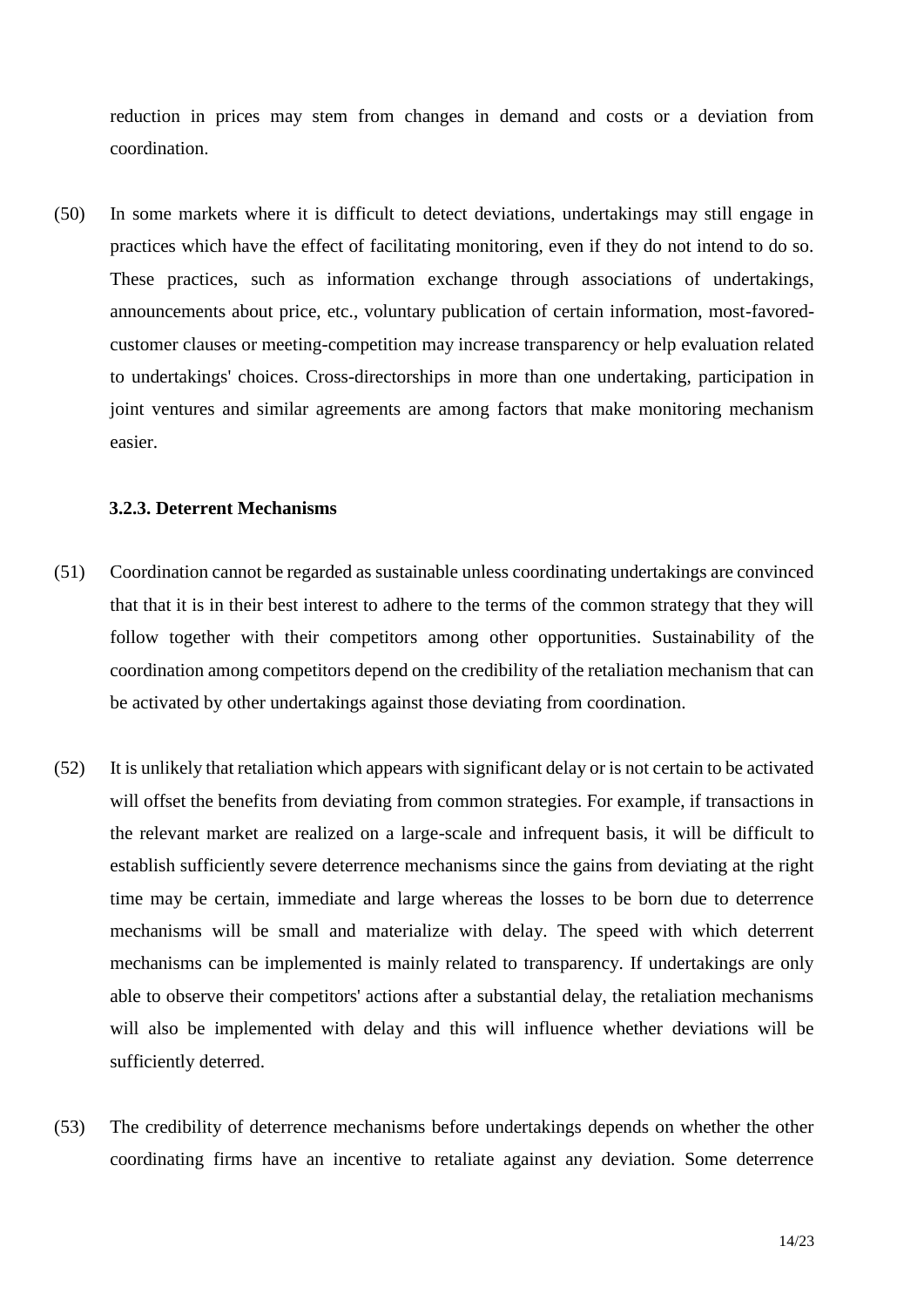reduction in prices may stem from changes in demand and costs or a deviation from coordination.

(50) In some markets where it is difficult to detect deviations, undertakings may still engage in practices which have the effect of facilitating monitoring, even if they do not intend to do so. These practices, such as information exchange through associations of undertakings, announcements about price, etc., voluntary publication of certain information, most-favoredcustomer clauses or meeting-competition may increase transparency or help evaluation related to undertakings' choices. Cross-directorships in more than one undertaking, participation in joint ventures and similar agreements are among factors that make monitoring mechanism easier.

## **3.2.3. Deterrent Mechanisms**

- (51) Coordination cannot be regarded as sustainable unless coordinating undertakings are convinced that that it is in their best interest to adhere to the terms of the common strategy that they will follow together with their competitors among other opportunities. Sustainability of the coordination among competitors depend on the credibility of the retaliation mechanism that can be activated by other undertakings against those deviating from coordination.
- (52) It is unlikely that retaliation which appears with significant delay or is not certain to be activated will offset the benefits from deviating from common strategies. For example, if transactions in the relevant market are realized on a large-scale and infrequent basis, it will be difficult to establish sufficiently severe deterrence mechanisms since the gains from deviating at the right time may be certain, immediate and large whereas the losses to be born due to deterrence mechanisms will be small and materialize with delay. The speed with which deterrent mechanisms can be implemented is mainly related to transparency. If undertakings are only able to observe their competitors' actions after a substantial delay, the retaliation mechanisms will also be implemented with delay and this will influence whether deviations will be sufficiently deterred.
- (53) The credibility of deterrence mechanisms before undertakings depends on whether the other coordinating firms have an incentive to retaliate against any deviation. Some deterrence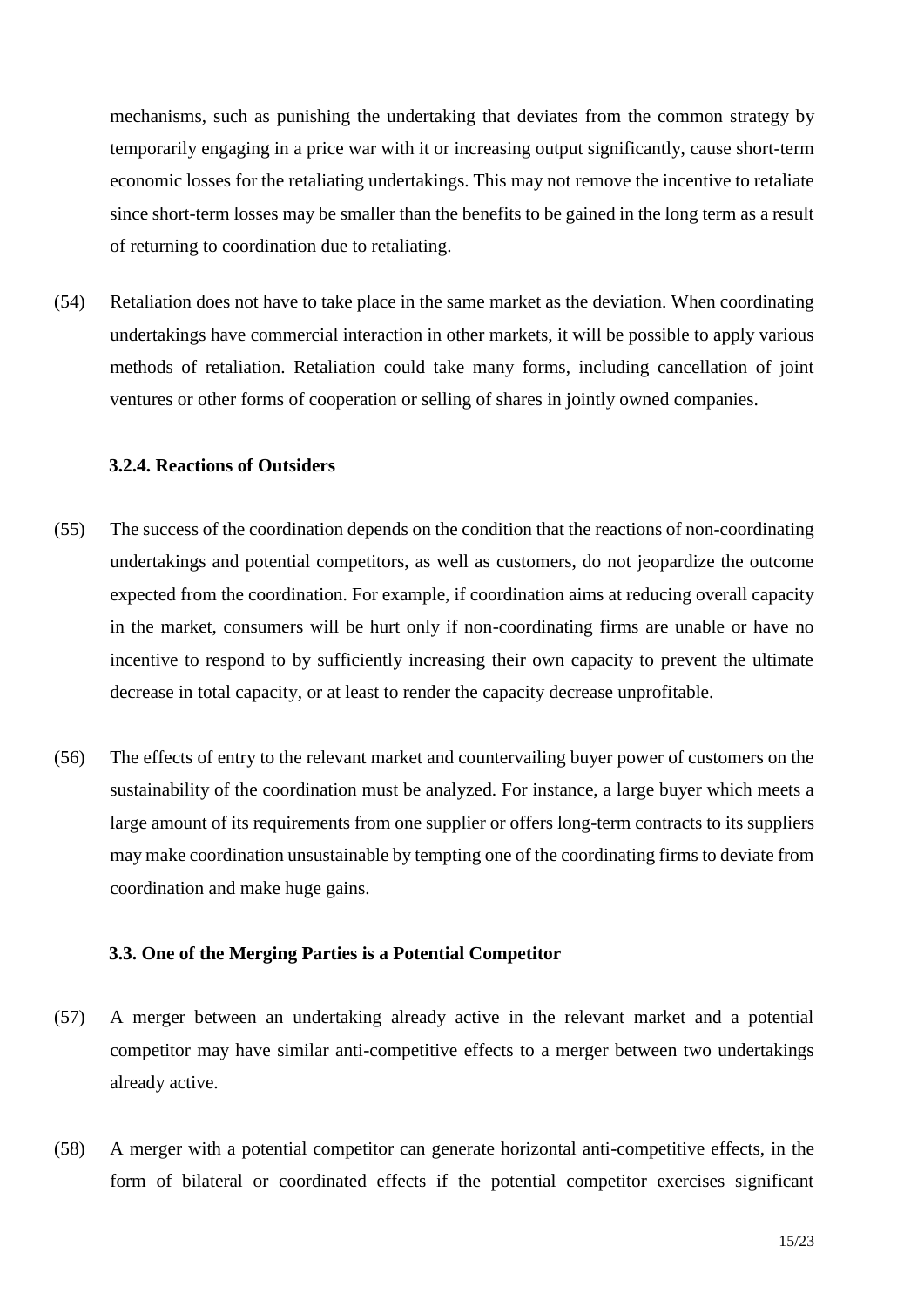mechanisms, such as punishing the undertaking that deviates from the common strategy by temporarily engaging in a price war with it or increasing output significantly, cause short-term economic losses for the retaliating undertakings. This may not remove the incentive to retaliate since short-term losses may be smaller than the benefits to be gained in the long term as a result of returning to coordination due to retaliating.

(54) Retaliation does not have to take place in the same market as the deviation. When coordinating undertakings have commercial interaction in other markets, it will be possible to apply various methods of retaliation. Retaliation could take many forms, including cancellation of joint ventures or other forms of cooperation or selling of shares in jointly owned companies.

#### **3.2.4. Reactions of Outsiders**

- (55) The success of the coordination depends on the condition that the reactions of non-coordinating undertakings and potential competitors, as well as customers, do not jeopardize the outcome expected from the coordination. For example, if coordination aims at reducing overall capacity in the market, consumers will be hurt only if non-coordinating firms are unable or have no incentive to respond to by sufficiently increasing their own capacity to prevent the ultimate decrease in total capacity, or at least to render the capacity decrease unprofitable.
- (56) The effects of entry to the relevant market and countervailing buyer power of customers on the sustainability of the coordination must be analyzed. For instance, a large buyer which meets a large amount of its requirements from one supplier or offers long-term contracts to its suppliers may make coordination unsustainable by tempting one of the coordinating firms to deviate from coordination and make huge gains.

#### **3.3. One of the Merging Parties is a Potential Competitor**

- (57) A merger between an undertaking already active in the relevant market and a potential competitor may have similar anti-competitive effects to a merger between two undertakings already active.
- (58) A merger with a potential competitor can generate horizontal anti-competitive effects, in the form of bilateral or coordinated effects if the potential competitor exercises significant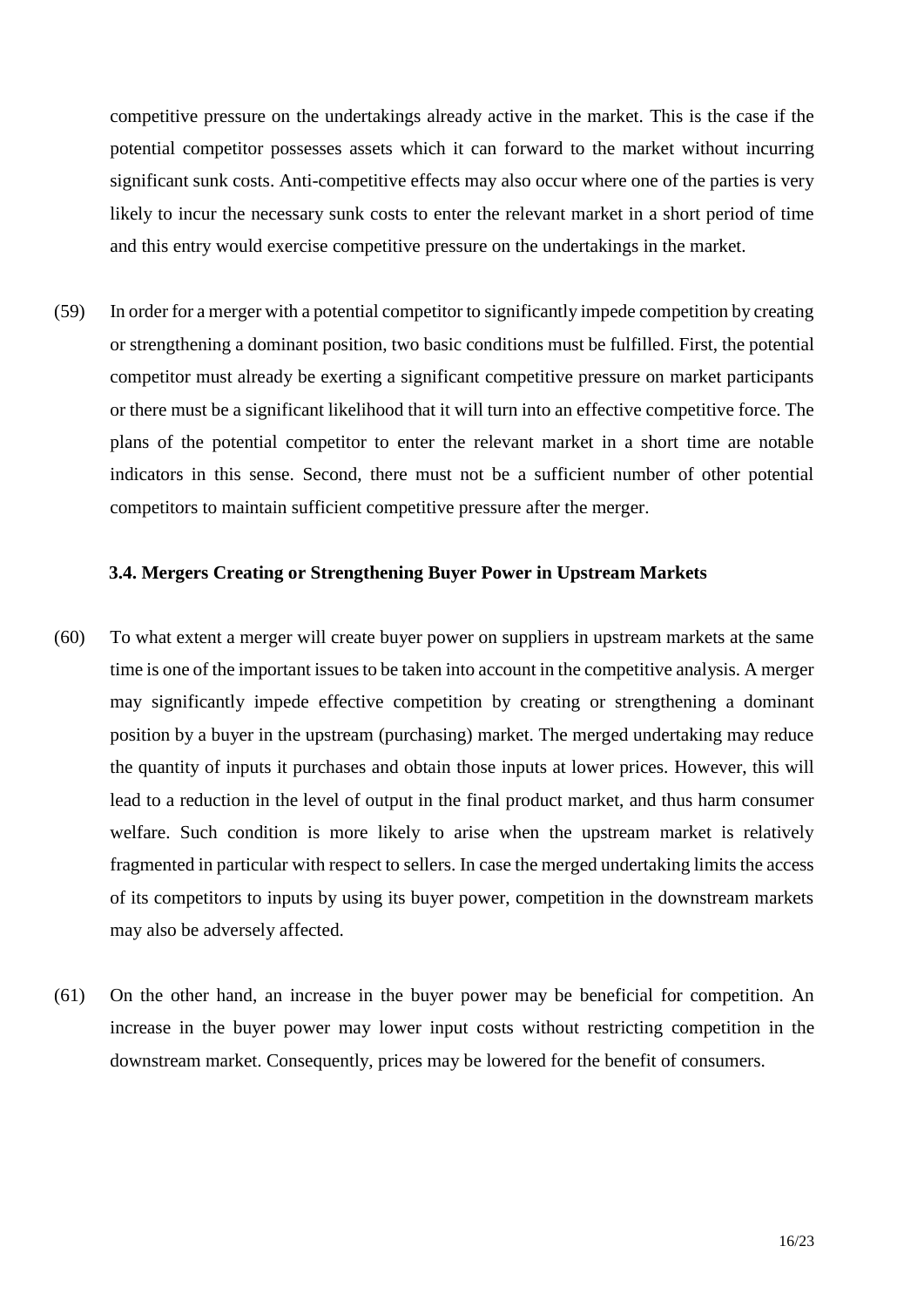competitive pressure on the undertakings already active in the market. This is the case if the potential competitor possesses assets which it can forward to the market without incurring significant sunk costs. Anti-competitive effects may also occur where one of the parties is very likely to incur the necessary sunk costs to enter the relevant market in a short period of time and this entry would exercise competitive pressure on the undertakings in the market.

(59) In order for a merger with a potential competitor to significantly impede competition by creating or strengthening a dominant position, two basic conditions must be fulfilled. First, the potential competitor must already be exerting a significant competitive pressure on market participants or there must be a significant likelihood that it will turn into an effective competitive force. The plans of the potential competitor to enter the relevant market in a short time are notable indicators in this sense. Second, there must not be a sufficient number of other potential competitors to maintain sufficient competitive pressure after the merger.

## **3.4. Mergers Creating or Strengthening Buyer Power in Upstream Markets**

- (60) To what extent a merger will create buyer power on suppliers in upstream markets at the same time is one of the important issues to be taken into account in the competitive analysis. A merger may significantly impede effective competition by creating or strengthening a dominant position by a buyer in the upstream (purchasing) market. The merged undertaking may reduce the quantity of inputs it purchases and obtain those inputs at lower prices. However, this will lead to a reduction in the level of output in the final product market, and thus harm consumer welfare. Such condition is more likely to arise when the upstream market is relatively fragmented in particular with respect to sellers. In case the merged undertaking limits the access of its competitors to inputs by using its buyer power, competition in the downstream markets may also be adversely affected.
- (61) On the other hand, an increase in the buyer power may be beneficial for competition. An increase in the buyer power may lower input costs without restricting competition in the downstream market. Consequently, prices may be lowered for the benefit of consumers.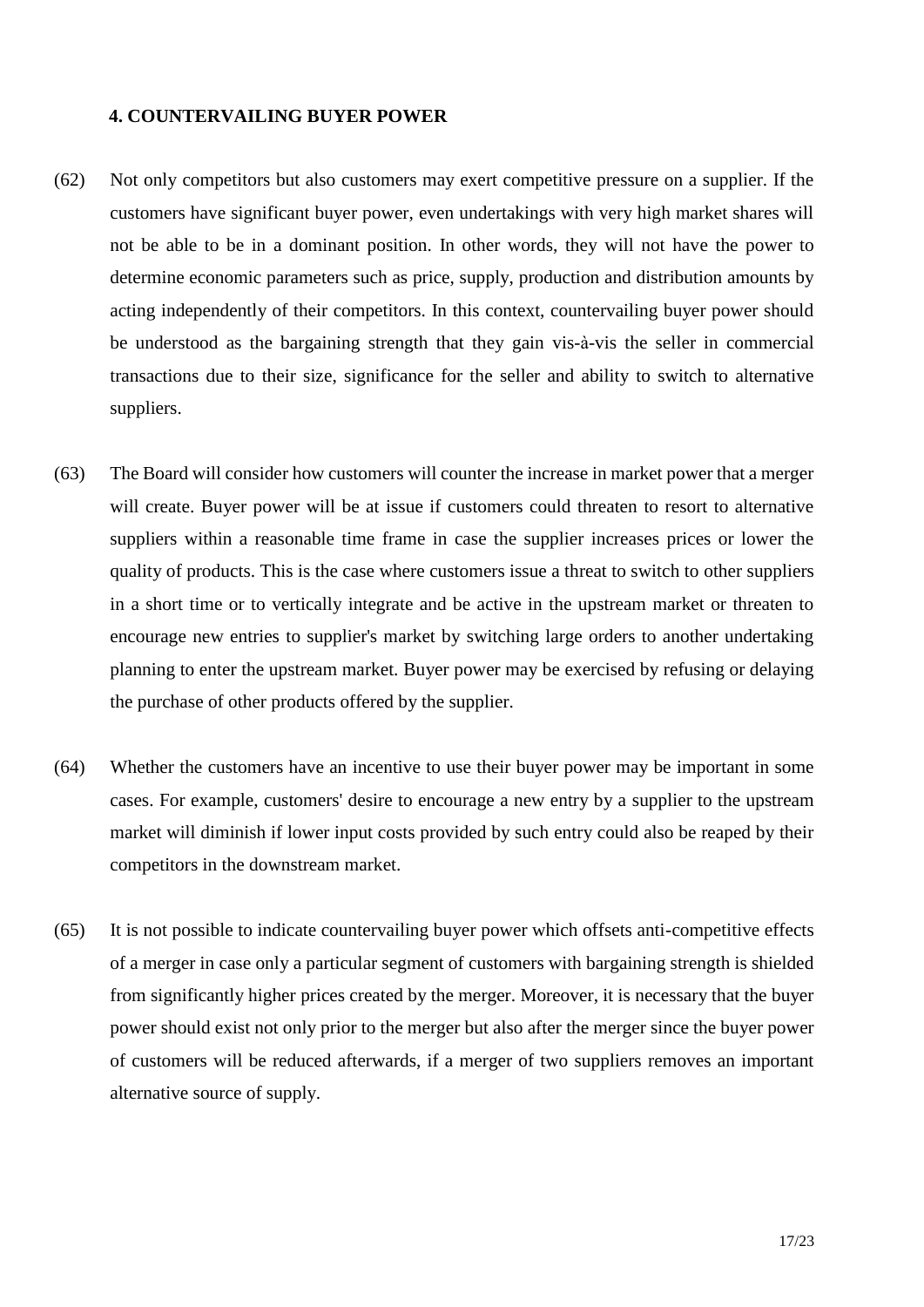## **4. COUNTERVAILING BUYER POWER**

- (62) Not only competitors but also customers may exert competitive pressure on a supplier. If the customers have significant buyer power, even undertakings with very high market shares will not be able to be in a dominant position. In other words, they will not have the power to determine economic parameters such as price, supply, production and distribution amounts by acting independently of their competitors. In this context, countervailing buyer power should be understood as the bargaining strength that they gain vis-à-vis the seller in commercial transactions due to their size, significance for the seller and ability to switch to alternative suppliers.
- (63) The Board will consider how customers will counter the increase in market power that a merger will create. Buyer power will be at issue if customers could threaten to resort to alternative suppliers within a reasonable time frame in case the supplier increases prices or lower the quality of products. This is the case where customers issue a threat to switch to other suppliers in a short time or to vertically integrate and be active in the upstream market or threaten to encourage new entries to supplier's market by switching large orders to another undertaking planning to enter the upstream market. Buyer power may be exercised by refusing or delaying the purchase of other products offered by the supplier.
- (64) Whether the customers have an incentive to use their buyer power may be important in some cases. For example, customers' desire to encourage a new entry by a supplier to the upstream market will diminish if lower input costs provided by such entry could also be reaped by their competitors in the downstream market.
- (65) It is not possible to indicate countervailing buyer power which offsets anti-competitive effects of a merger in case only a particular segment of customers with bargaining strength is shielded from significantly higher prices created by the merger. Moreover, it is necessary that the buyer power should exist not only prior to the merger but also after the merger since the buyer power of customers will be reduced afterwards, if a merger of two suppliers removes an important alternative source of supply.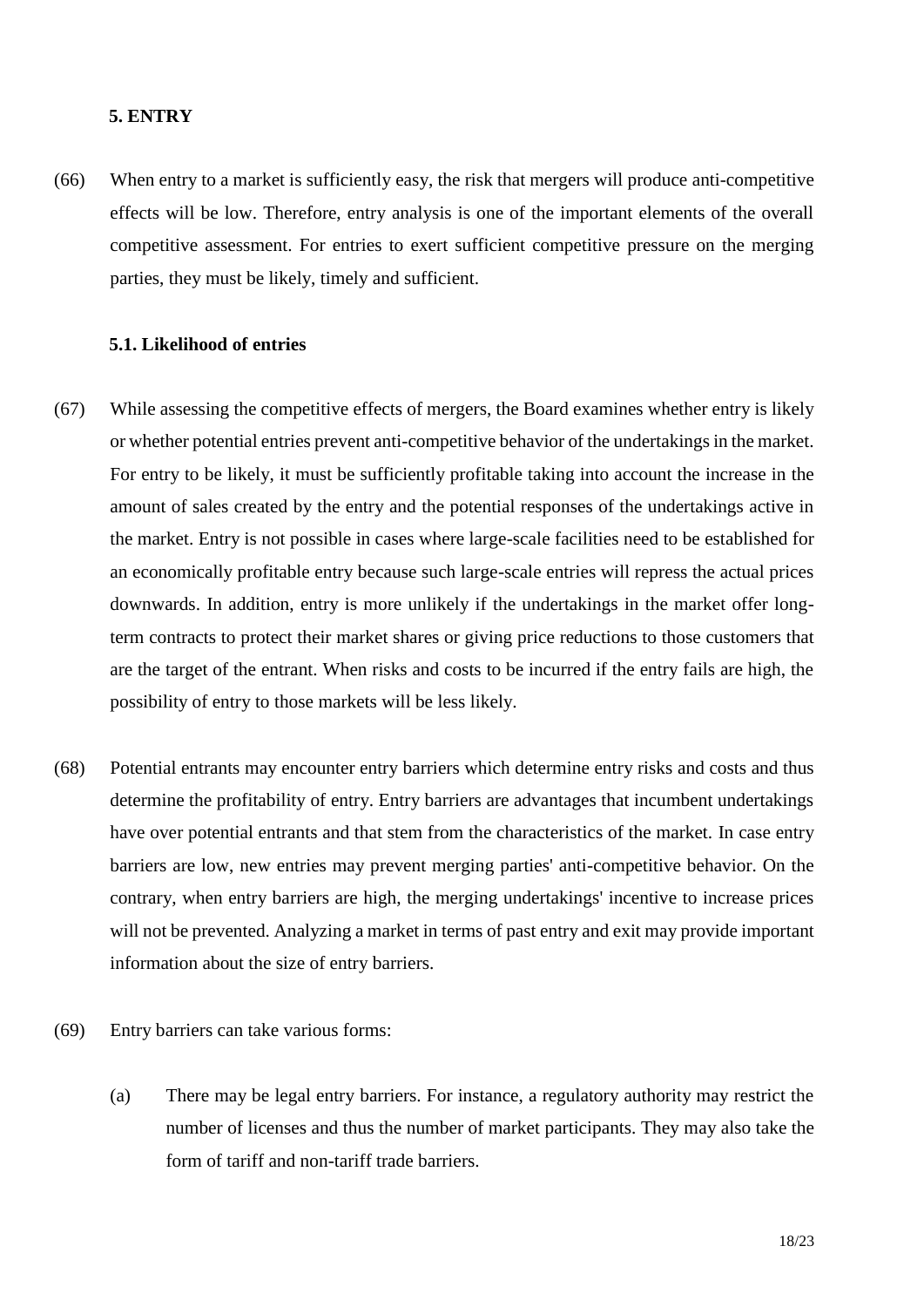#### **5. ENTRY**

(66) When entry to a market is sufficiently easy, the risk that mergers will produce anti-competitive effects will be low. Therefore, entry analysis is one of the important elements of the overall competitive assessment. For entries to exert sufficient competitive pressure on the merging parties, they must be likely, timely and sufficient.

#### **5.1. Likelihood of entries**

- (67) While assessing the competitive effects of mergers, the Board examines whether entry is likely or whether potential entries prevent anti-competitive behavior of the undertakings in the market. For entry to be likely, it must be sufficiently profitable taking into account the increase in the amount of sales created by the entry and the potential responses of the undertakings active in the market. Entry is not possible in cases where large-scale facilities need to be established for an economically profitable entry because such large-scale entries will repress the actual prices downwards. In addition, entry is more unlikely if the undertakings in the market offer longterm contracts to protect their market shares or giving price reductions to those customers that are the target of the entrant. When risks and costs to be incurred if the entry fails are high, the possibility of entry to those markets will be less likely.
- (68) Potential entrants may encounter entry barriers which determine entry risks and costs and thus determine the profitability of entry. Entry barriers are advantages that incumbent undertakings have over potential entrants and that stem from the characteristics of the market. In case entry barriers are low, new entries may prevent merging parties' anti-competitive behavior. On the contrary, when entry barriers are high, the merging undertakings' incentive to increase prices will not be prevented. Analyzing a market in terms of past entry and exit may provide important information about the size of entry barriers.
- (69) Entry barriers can take various forms:
	- (a) There may be legal entry barriers. For instance, a regulatory authority may restrict the number of licenses and thus the number of market participants. They may also take the form of tariff and non-tariff trade barriers.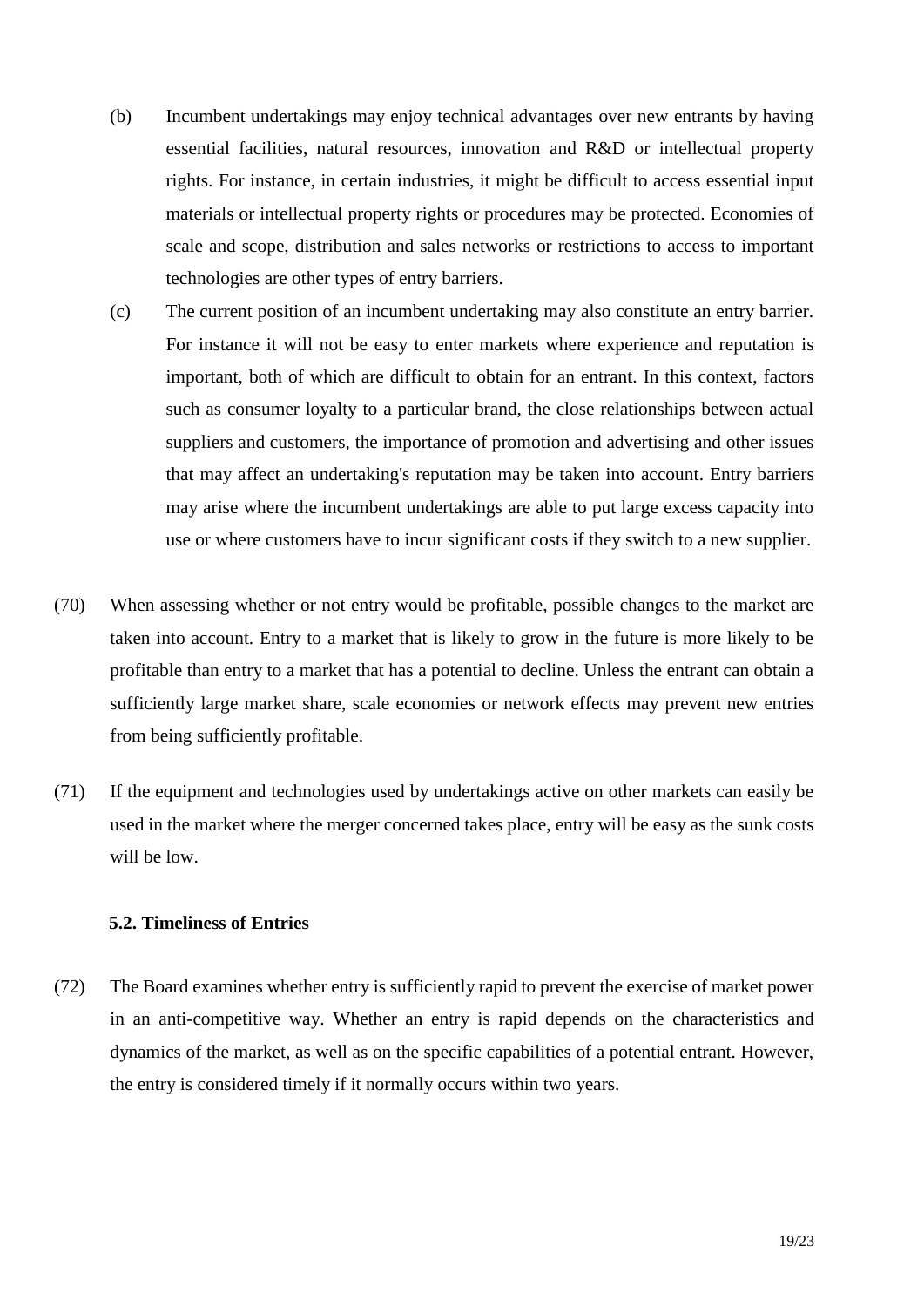- (b) Incumbent undertakings may enjoy technical advantages over new entrants by having essential facilities, natural resources, innovation and R&D or intellectual property rights. For instance, in certain industries, it might be difficult to access essential input materials or intellectual property rights or procedures may be protected. Economies of scale and scope, distribution and sales networks or restrictions to access to important technologies are other types of entry barriers.
- (c) The current position of an incumbent undertaking may also constitute an entry barrier. For instance it will not be easy to enter markets where experience and reputation is important, both of which are difficult to obtain for an entrant. In this context, factors such as consumer loyalty to a particular brand, the close relationships between actual suppliers and customers, the importance of promotion and advertising and other issues that may affect an undertaking's reputation may be taken into account. Entry barriers may arise where the incumbent undertakings are able to put large excess capacity into use or where customers have to incur significant costs if they switch to a new supplier.
- (70) When assessing whether or not entry would be profitable, possible changes to the market are taken into account. Entry to a market that is likely to grow in the future is more likely to be profitable than entry to a market that has a potential to decline. Unless the entrant can obtain a sufficiently large market share, scale economies or network effects may prevent new entries from being sufficiently profitable.
- (71) If the equipment and technologies used by undertakings active on other markets can easily be used in the market where the merger concerned takes place, entry will be easy as the sunk costs will be low.

## **5.2. Timeliness of Entries**

(72) The Board examines whether entry is sufficiently rapid to prevent the exercise of market power in an anti-competitive way. Whether an entry is rapid depends on the characteristics and dynamics of the market, as well as on the specific capabilities of a potential entrant. However, the entry is considered timely if it normally occurs within two years.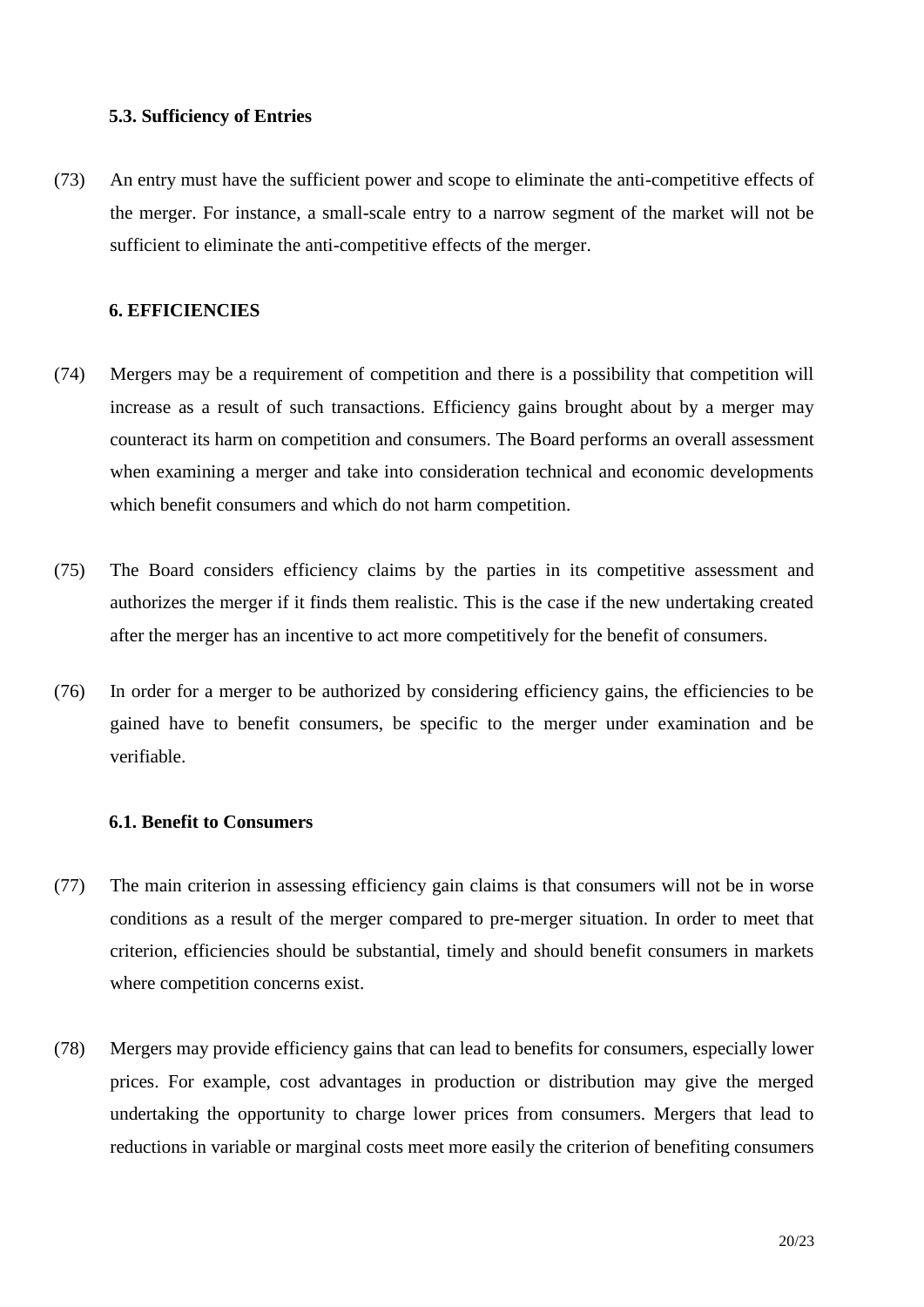## **5.3. Sufficiency of Entries**

(73) An entry must have the sufficient power and scope to eliminate the anti-competitive effects of the merger. For instance, a small-scale entry to a narrow segment of the market will not be sufficient to eliminate the anti-competitive effects of the merger.

#### **6. EFFICIENCIES**

- (74) Mergers may be a requirement of competition and there is a possibility that competition will increase as a result of such transactions. Efficiency gains brought about by a merger may counteract its harm on competition and consumers. The Board performs an overall assessment when examining a merger and take into consideration technical and economic developments which benefit consumers and which do not harm competition.
- (75) The Board considers efficiency claims by the parties in its competitive assessment and authorizes the merger if it finds them realistic. This is the case if the new undertaking created after the merger has an incentive to act more competitively for the benefit of consumers.
- (76) In order for a merger to be authorized by considering efficiency gains, the efficiencies to be gained have to benefit consumers, be specific to the merger under examination and be verifiable.

#### **6.1. Benefit to Consumers**

- (77) The main criterion in assessing efficiency gain claims is that consumers will not be in worse conditions as a result of the merger compared to pre-merger situation. In order to meet that criterion, efficiencies should be substantial, timely and should benefit consumers in markets where competition concerns exist.
- (78) Mergers may provide efficiency gains that can lead to benefits for consumers, especially lower prices. For example, cost advantages in production or distribution may give the merged undertaking the opportunity to charge lower prices from consumers. Mergers that lead to reductions in variable or marginal costs meet more easily the criterion of benefiting consumers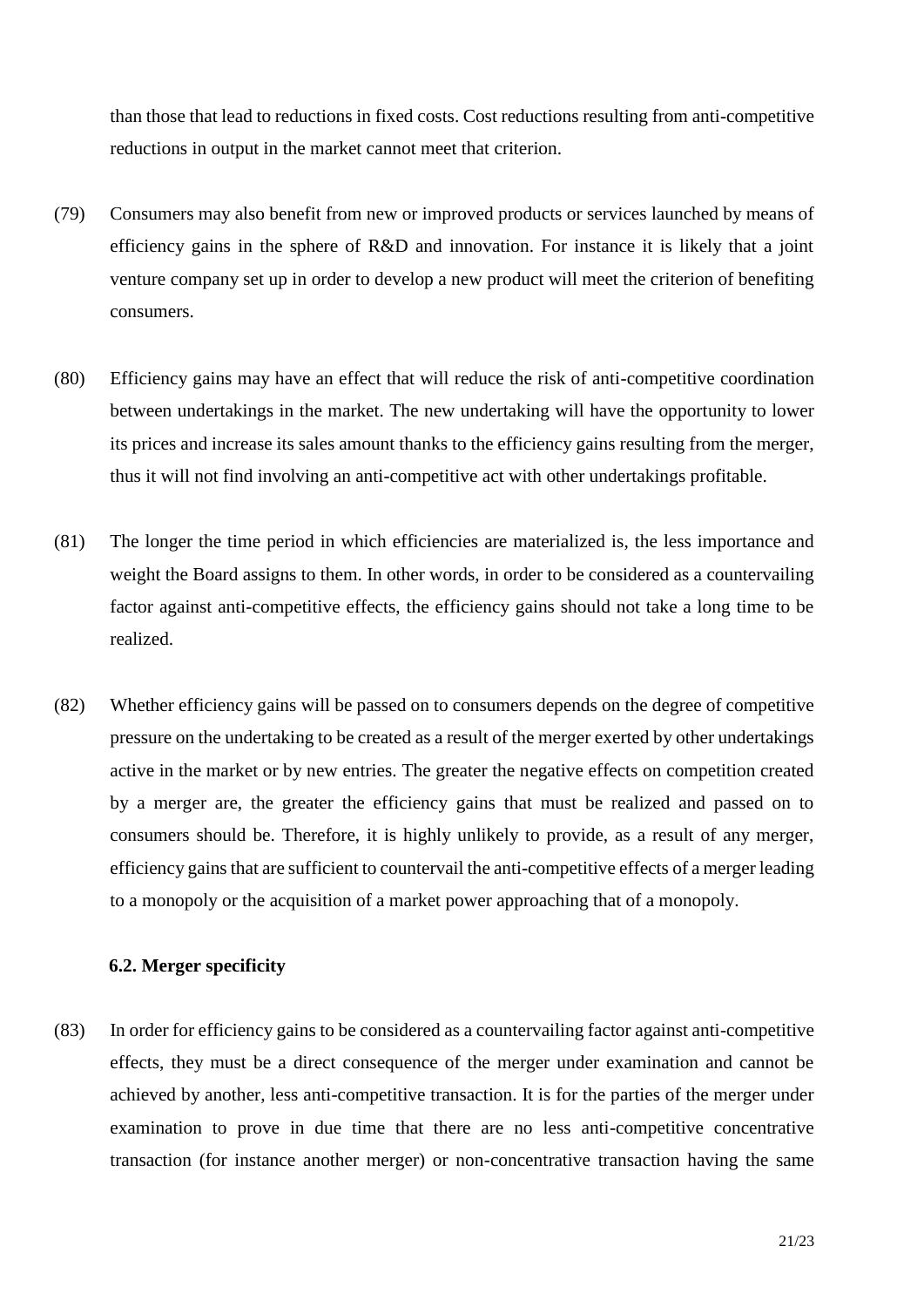than those that lead to reductions in fixed costs. Cost reductions resulting from anti-competitive reductions in output in the market cannot meet that criterion.

- (79) Consumers may also benefit from new or improved products or services launched by means of efficiency gains in the sphere of R&D and innovation. For instance it is likely that a joint venture company set up in order to develop a new product will meet the criterion of benefiting consumers.
- (80) Efficiency gains may have an effect that will reduce the risk of anti-competitive coordination between undertakings in the market. The new undertaking will have the opportunity to lower its prices and increase its sales amount thanks to the efficiency gains resulting from the merger, thus it will not find involving an anti-competitive act with other undertakings profitable.
- (81) The longer the time period in which efficiencies are materialized is, the less importance and weight the Board assigns to them. In other words, in order to be considered as a countervailing factor against anti-competitive effects, the efficiency gains should not take a long time to be realized.
- (82) Whether efficiency gains will be passed on to consumers depends on the degree of competitive pressure on the undertaking to be created as a result of the merger exerted by other undertakings active in the market or by new entries. The greater the negative effects on competition created by a merger are, the greater the efficiency gains that must be realized and passed on to consumers should be. Therefore, it is highly unlikely to provide, as a result of any merger, efficiency gains that are sufficient to countervail the anti-competitive effects of a merger leading to a monopoly or the acquisition of a market power approaching that of a monopoly.

## **6.2. Merger specificity**

(83) In order for efficiency gains to be considered as a countervailing factor against anti-competitive effects, they must be a direct consequence of the merger under examination and cannot be achieved by another, less anti-competitive transaction. It is for the parties of the merger under examination to prove in due time that there are no less anti-competitive concentrative transaction (for instance another merger) or non-concentrative transaction having the same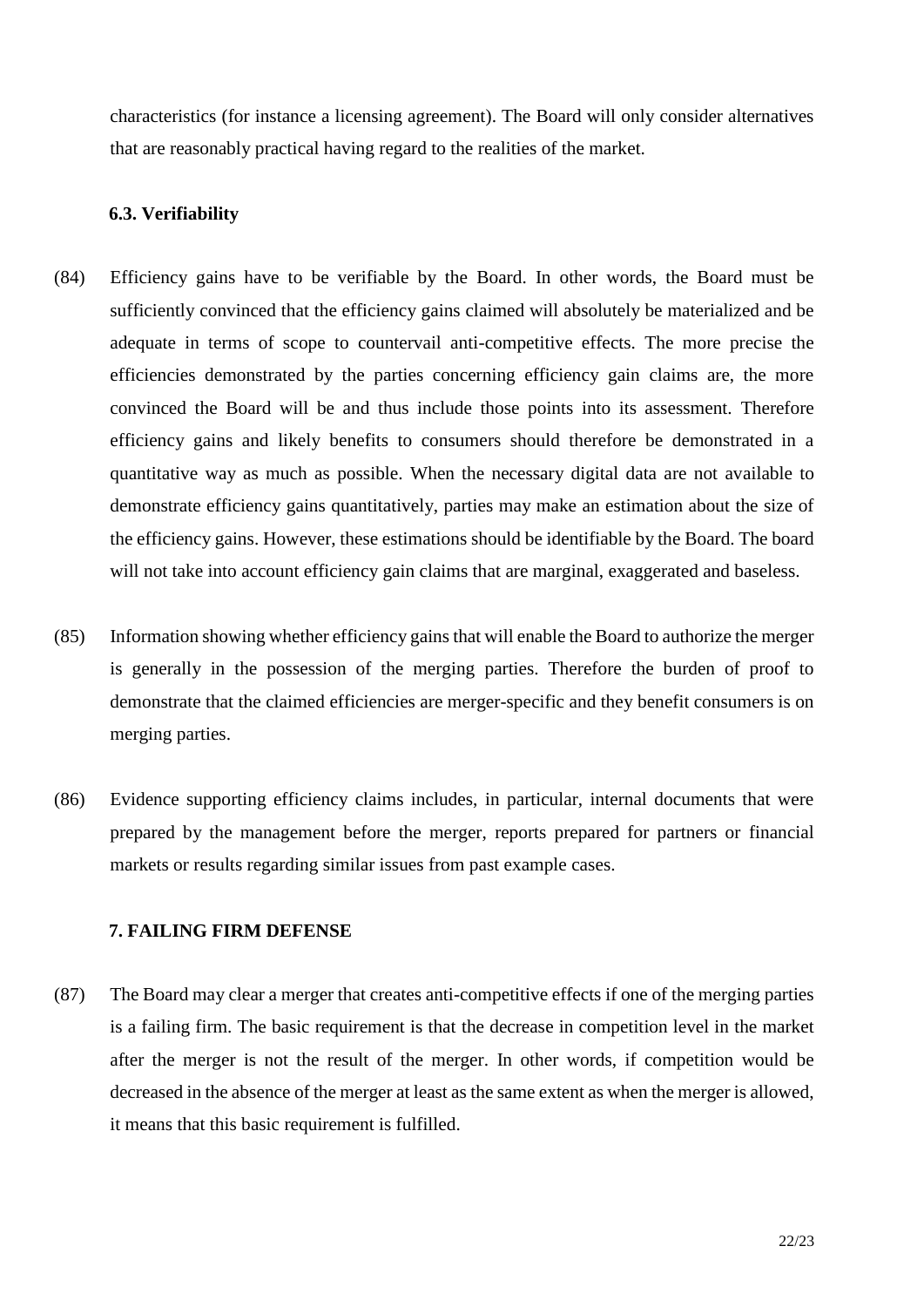characteristics (for instance a licensing agreement). The Board will only consider alternatives that are reasonably practical having regard to the realities of the market.

#### **6.3. Verifiability**

- (84) Efficiency gains have to be verifiable by the Board. In other words, the Board must be sufficiently convinced that the efficiency gains claimed will absolutely be materialized and be adequate in terms of scope to countervail anti-competitive effects. The more precise the efficiencies demonstrated by the parties concerning efficiency gain claims are, the more convinced the Board will be and thus include those points into its assessment. Therefore efficiency gains and likely benefits to consumers should therefore be demonstrated in a quantitative way as much as possible. When the necessary digital data are not available to demonstrate efficiency gains quantitatively, parties may make an estimation about the size of the efficiency gains. However, these estimations should be identifiable by the Board. The board will not take into account efficiency gain claims that are marginal, exaggerated and baseless.
- (85) Information showing whether efficiency gains that will enable the Board to authorize the merger is generally in the possession of the merging parties. Therefore the burden of proof to demonstrate that the claimed efficiencies are merger-specific and they benefit consumers is on merging parties.
- (86) Evidence supporting efficiency claims includes, in particular, internal documents that were prepared by the management before the merger, reports prepared for partners or financial markets or results regarding similar issues from past example cases.

## **7. FAILING FIRM DEFENSE**

(87) The Board may clear a merger that creates anti-competitive effects if one of the merging parties is a failing firm. The basic requirement is that the decrease in competition level in the market after the merger is not the result of the merger. In other words, if competition would be decreased in the absence of the merger at least as the same extent as when the merger is allowed, it means that this basic requirement is fulfilled.